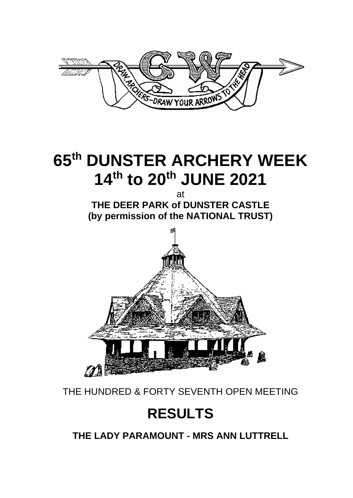

# **65 th DUNSTER ARCHERY WEEK 14 th to 20 th JUNE 2021**

at **THE DEER PARK of DUNSTER CASTLE (by permission of the NATIONAL TRUST)**



THE HUNDRED & FORTY SEVENTH OPEN MEETING

# **RESULTS**

**THE LADY PARAMOUNT - MRS ANN LUTTRELL**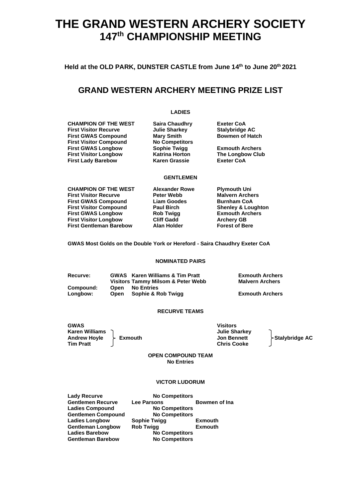# **THE GRAND WESTERN ARCHERY SOCIETY 147 th CHAMPIONSHIP MEETING**

**Held at the OLD PARK, DUNSTER CASTLE from June 14 th to June 20 th 2021**

### **GRAND WESTERN ARCHERY MEETING PRIZE LIST**

**LADIES**

**CHAMPION OF THE WEST Saira Chaudhry Exeter CoA First Visitor Recurve Julie Sharkey Stalybridge AC First GWAS Compound Mary Smith Bowmen of Hatch First Visitor Compound No Competitors First Visitor Compound No Competitors First GWAS Longbow Sophie Twigg Exmouth Archers First Visitor Longbow First Lady Barebow Karen Grassie Exeter CoA**

#### **GENTLEMEN**

**CHAMPION OF THE WEST Alexander Rowe Plymouth Uni First Visitor Recurve Peter Webb Malvern Archers First GWAS Compound First Visitor Compound Paul Birch Shenley & Loughton First GWAS Longbow Rob Twigg Exmouth Archers First Visitor Longbow Cliff Gadd<br>
First Gentleman Barebow Alan Holder First Gentleman Barebow Alan Holder Forest of Bere**

**GWAS Most Golds on the Double York or Hereford - Saira Chaudhry Exeter CoA**

#### **NOMINATED PAIRS**

**Recurve: GWAS Karen Williams & Tim Pratt Exmouth Archers Visitors Tammy Milsom & Peter Webb Compound: Open No Entries Congress 2 Congress 2 Congress 2 Congress 2 Congress 2 Congress 2 Congress 2 Congress 2 Congress 2 Congress 2 Congress 2 Congress 2 Congress 2 Congress 2 Congress 2 Congress 2 Congress 2 Congress 2 Congress 2 Congress 2 C** 

#### **RECURVE TEAMS**

**GWAS Visitors Karen Williams Julie Sharkey Andrew Hoyle Exmouth Jon Bennett Stalybridge AC Tim Pratt Chris Cooke**

**OPEN COMPOUND TEAM No Entries**

#### **VICTOR LUDORUM**

**Lady Recurve No Competitors Ladies Compound No Competitors**

**Gentlemen Recurve Lee Parsons Bowmen of Ina Gentlemen Compound No Competitors Ladies Longbow Sophie Twigg Exmouth Gentleman Longbow Rob Twigg Exmouth Ladies Barebow No Competitors No Competitors**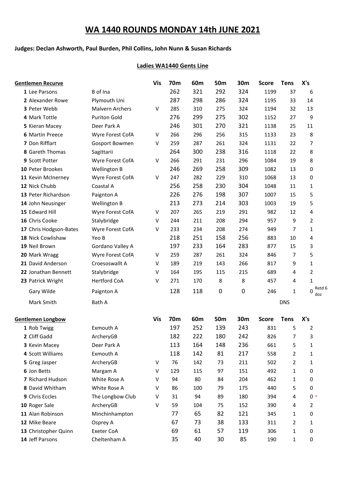# **WA 1440 ROUNDS MONDAY 14th JUNE 2021**

#### **Judges: Declan Ashworth, Paul Burden, Phil Collins, John Nunn & Susan Richards**

#### **Ladies WA1440 Gents Line**

| <b>Gentlemen Recurve</b> |                        | <b>Vis</b> | 70m        | 60m | 50 <sub>m</sub> | 30m         | <b>Score</b> | <b>Tens</b>    | X's                |
|--------------------------|------------------------|------------|------------|-----|-----------------|-------------|--------------|----------------|--------------------|
| 1 Lee Parsons            | B of Ina               |            | 262        | 321 | 292             | 324         | 1199         | 37             | 6                  |
| 2 Alexander Rowe         | Plymouth Uni           |            | 287        | 298 | 286             | 324         | 1195         | 33             | 14                 |
| 3 Peter Webb             | <b>Malvern Archers</b> | V          | 285        | 310 | 275             | 324         | 1194         | 32             | 13                 |
| 4 Mark Tottle            | <b>Puriton Gold</b>    |            | 276        | 299 | 275             | 302         | 1152         | 27             | 9                  |
| 5 Kieran Macey           | Deer Park A            |            | 246        | 301 | 270             | 321         | 1138         | 25             | 11                 |
| <b>6 Martin Preece</b>   | Wyre Forest CofA       | V          | 266        | 296 | 256             | 315         | 1133         | 23             | 8                  |
| 7 Don Rifflart           | Gosport Bowmen         | V          | 259        | 287 | 261             | 324         | 1131         | 22             | 7                  |
| 8 Gareth Thomas          | Sagittarii             |            | 264        | 300 | 238             | 316         | 1118         | 22             | 8                  |
| 9 Scott Potter           | Wyre Forest CofA       | V          | 266        | 291 | 231             | 296         | 1084         | 19             | 8                  |
| 10 Peter Brookes         | <b>Wellington B</b>    |            | 246        | 269 | 258             | 309         | 1082         | 13             | 0                  |
| 11 Kevin McInerney       | Wyre Forest CofA       | V          | 247        | 282 | 229             | 310         | 1068         | 13             | 0                  |
| 12 Nick Chubb            | Coastal A              |            | 256        | 258 | 230             | 304         | 1048         | 11             | 1                  |
| 13 Peter Richardson      | Paignton A             |            | 226        | 276 | 198             | 307         | 1007         | 15             | 5                  |
| 14 John Neusinger        | Wellington B           |            | 213        | 273 | 214             | 303         | 1003         | 19             | 5                  |
| 15 Edward Hill           | Wyre Forest CofA       | V          | 207        | 265 | 219             | 291         | 982          | 12             | 4                  |
| 16 Chris Cooke           | Stalybridge            | $\vee$     | 244        | 211 | 208             | 294         | 957          | 9              | 2                  |
| 17 Chris Hodgson-Bates   | Wyre Forest CofA       | V          | 233        | 234 | 208             | 274         | 949          | 7              | 1                  |
| 18 Nick Cowlishaw        | Yeo B                  |            | 218        | 251 | 158             | 256         | 883          | 10             | 4                  |
| 19 Neil Brown            | Gordano Valley A       |            | 197        | 233 | 164             | 283         | 877          | 15             | 3                  |
| 20 Mark Wragg            | Wyre Forest CofA       | V          | 259        | 287 | 261             | 324         | 846          | $\overline{7}$ | 5                  |
| 21 David Anderson        | Croesoswallt A         | V          | 189        | 219 | 143             | 266         | 817          | 9              | $\mathbf{1}$       |
| 22 Jonathan Bennett      | Stalybridge            | V          | 164        | 195 | 115             | 215         | 689          | 4              | 2                  |
| 23 Patrick Wright        | <b>Hertford CoA</b>    | V          | 271        | 170 | 8               | 8           | 457          | 4              | $\mathbf{1}$       |
| Gary Wilde               | Paignton A             |            | 128        | 118 | 0               | $\mathbf 0$ | 246          | $\mathbf{1}$   | Retd 6<br>0<br>doz |
| Mark Smith               | Bath A                 |            |            |     |                 |             |              | <b>DNS</b>     |                    |
| <b>Gentlemen Longbow</b> |                        | <b>Vis</b> | <b>70m</b> | 60m | 50 <sub>m</sub> | 30m         | <b>Score</b> | <b>Tens</b>    | X's                |
| 1 Rob Twigg              | Exmouth A              |            | 197        | 252 | 139             | 243         | 831          | 5              | 2                  |
| 2 Cliff Gadd             | ArcheryGB              |            | 182        | 222 | 180             | 242         | 826          | $\overline{7}$ | 3                  |
| 3 Kevin Macey            | Deer Park A            |            | 113        | 164 | 148             | 236         | 661          | 5              | 1                  |
| 4 Scott Williams         | Exmouth A              |            | 118        | 142 | 81              | 217         | 558          | $\overline{2}$ | 1                  |
| 5 Greg Jasper            | ArcheryGB              | V          | 76         | 142 | 73              | 211         | 502          | $\overline{2}$ | 1                  |
| 6 Jon Betts              | Margam A               | V          | 129        | 115 | 97              | 151         | 492          | $\mathbf{1}$   | 0                  |
| 7 Richard Hudson         | White Rose A           | V          | 94         | 80  | 84              | 204         | 462          | 1              | 0                  |
| 8 David Whitham          | White Rose A           | V          | 86         | 100 | 79              | 175         | 440          | 5              | 0                  |
| 9 Chris Eccles           | The Longbow Club       | V          | 31         | 94  | 89              | 180         | 394          | 4              | $0*$               |
| 10 Roger Sale            | ArcheryGB              | $\vee$     | 59         | 104 | 75              | 152         | 390          | 4              | 2                  |
| 11 Alan Robinson         | Minchinhampton         |            | 77         | 65  | 82              | 121         | 345          | 1              | 0                  |
| 12 Mike Beare            | Osprey A               |            | 67         | 73  | 38              | 133         | 311          | $\overline{2}$ | 1                  |
| 13 Christopher Quinn     | Exeter CoA             |            | 69         | 61  | 57              | 119         | 306          | 1              | 0                  |
| 14 Jeff Parsons          | Cheltenham A           |            | 35         | 40  | 30              | 85          | 190          | 1              | 0                  |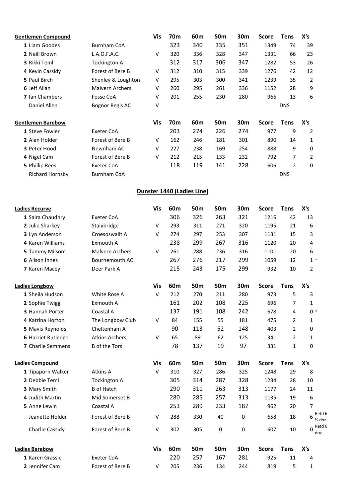| <b>Gentlemen Compound</b> |                        | <b>Vis</b> | 70m | 60m                        | 50m             | 30m       | <b>Score</b> | <b>Tens</b>    | X's                              |
|---------------------------|------------------------|------------|-----|----------------------------|-----------------|-----------|--------------|----------------|----------------------------------|
| 1 Liam Goodes             | <b>Burnham CoA</b>     |            | 323 | 340                        | 335             | 351       | 1349         | 74             | 39                               |
| 2 Neill Brown             | L.A.O.F.A.C.           | V          | 320 | 336                        | 328             | 347       | 1331         | 66             | 23                               |
| 3 Rikki Teml              | <b>Tockington A</b>    |            | 312 | 317                        | 306             | 347       | 1282         | 53             | 26                               |
| 4 Kevin Cassidy           | Forest of Bere B       | V          | 312 | 310                        | 315             | 339       | 1276         | 42             | 12                               |
| 5 Paul Birch              | Shenley & Loughton     | V          | 295 | 303                        | 300             | 341       | 1239         | 35             | 2                                |
| 6 Jeff Allan              | <b>Malvern Archers</b> | V          | 260 | 295                        | 261             | 336       | 1152         | 28             | 9                                |
| 7 Ian Chambers            | Fosse CoA              | V          | 201 | 255                        | 230             | 280       | 966          | 13             | 6                                |
| Daniel Allen              | <b>Bognor Regis AC</b> | V          |     |                            |                 |           |              | <b>DNS</b>     |                                  |
| <b>Gentlemen Barebow</b>  |                        | <b>Vis</b> | 70m | 60m                        | 50m             | 30m       | <b>Score</b> | <b>Tens</b>    | X's                              |
| 1 Steve Fowler            | <b>Exeter CoA</b>      |            | 203 | 274                        | 226             | 274       | 977          | 9              | 2                                |
| 2 Alan Holder             | Forest of Bere B       | $\vee$     | 162 | 246                        | 181             | 301       | 890          | 14             | 1                                |
| 3 Peter Hood              | Newnham AC             | $\vee$     | 227 | 238                        | 169             | 254       | 888          | 9              | 0                                |
| 4 Nigel Cam               | Forest of Bere B       | $\vee$     | 212 | 215                        | 133             | 232       | 792          | 7              | $\overline{2}$                   |
| 5 Phillip Rees            | <b>Exeter CoA</b>      |            | 118 | 119                        | 141             | 228       | 606          | $\overline{2}$ | 0                                |
| <b>Richard Hornsby</b>    | <b>Burnham CoA</b>     |            |     |                            |                 |           |              | <b>DNS</b>     |                                  |
|                           |                        |            |     | Dunster 1440 (Ladies Line) |                 |           |              |                |                                  |
| <b>Ladies Recurve</b>     |                        | <b>Vis</b> | 60m | 50m                        | 50m             | 30m       | <b>Score</b> | <b>Tens</b>    | X's                              |
| 1 Saira Chaudhry          | <b>Exeter CoA</b>      |            | 306 | 326                        | 263             | 321       | 1216         | 42             | 13                               |
| 2 Julie Sharkey           | Stalybridge            | $\vee$     | 293 | 311                        | 271             | 320       | 1195         | 21             | 6                                |
| 3 Lyn Anderson            | Croesoswallt A         | $\vee$     | 274 | 297                        | 253             | 307       | 1131         | 15             | 3                                |
| 4 Karen Williams          | Exmouth A              |            | 238 | 299                        | 267             | 316       | 1120         | 20             | 4                                |
| 5 Tammy Milsom            | <b>Malvern Archers</b> | V          | 261 | 288                        | 236             | 316       | 1101         | 20             | 6                                |
| 6 Alison Innes            | Bournemouth AC         |            | 267 | 276                        | 217             | 299       | 1059         | 12             | $1*$                             |
| 7 Karen Macey             | Deer Park A            |            | 215 | 243                        | 175             | 299       | 932          | 10             | $\overline{2}$                   |
| <b>Ladies Longbow</b>     |                        | <b>Vis</b> | 60m | <b>50m</b>                 | <b>50m</b>      | 30m       | <b>Score</b> | <b>Tens</b>    | X's                              |
| 1 Sheila Hudson           | White Rose A           | V          | 212 | 270                        | 211             | 280       | 973          | 5              | 3                                |
| 2 Sophie Twigg            | Exmouth A              |            | 161 | 202                        | 108             | 225       | 696          | $\overline{7}$ | $\mathbf{1}$                     |
| 3 Hannah Porter           | Coastal A              |            | 137 | 191                        | 108             | 242       | 678          | 4              | $0*$                             |
| 4 Katrina Horton          | The Longbow Club       | V          | 84  | 155                        | 55              | 181       | 475          | $\overline{2}$ | $\mathbf{1}$                     |
| 5 Mavis Reynolds          | Cheltenham A           |            | 90  | 113                        | 52              | 148       | 403          | $\overline{2}$ | 0                                |
| 6 Harriet Rutledge        | <b>Atkins Archers</b>  | $\vee$     | 65  | 89                         | 62              | 125       | 341          | $\overline{2}$ | $\mathbf{1}$                     |
| 7 Charlie Semmens         | <b>B</b> of the Tors   |            | 78  | 137                        | 19              | 97        | 331          | $\mathbf{1}$   | 0                                |
| <b>Ladies Compound</b>    |                        | <b>Vis</b> | 60m | 50 <sub>m</sub>            | 50 <sub>m</sub> | 30m       | <b>Score</b> | <b>Tens</b>    | X's                              |
| 1 Tipaporn Walker         | Atkins A               | $\sf V$    | 310 | 327                        | 286             | 325       | 1248         | 29             | 8                                |
| 2 Debbie Teml             | <b>Tockington A</b>    |            | 305 | 314                        | 287             | 328       | 1234         | 28             | 10                               |
| 3 Mary Smith              | <b>B</b> of Hatch      |            | 290 | 311                        | 263             | 313       | 1177         | 24             | 11                               |
| 4 Judith Martin           | Mid Somerset B         |            | 280 | 285                        | 257             | 313       | 1135         | 19             | 6                                |
| 5 Anne Lewin              | Coastal A              |            | 253 | 289                        | 233             | 187       | 962          | 20             | $\overline{7}$                   |
| Jeanette Holder           | Forest of Bere B       | V          | 288 | 330                        | 40              | $\pmb{0}$ | 658          | 18             | Retd 6<br>6<br>$\frac{1}{2}$ doz |
| Charlie Cassidy           | Forest of Bere B       | V          | 302 | 305                        | 0               | 0         | 607          | 10             | Retd 6<br>0<br>doz               |
| <b>Ladies Barebow</b>     |                        | <b>Vis</b> | 60m | <b>50m</b>                 | <b>50m</b>      | 30m       | <b>Score</b> | <b>Tens</b>    | X's                              |
| 1 Karen Grassie           | Exeter CoA             |            | 220 | 257                        | 167             | 281       | 925          | 11             | 4                                |
| 2 Jennifer Cam            | Forest of Bere B       | V          | 205 | 236                        | 134             | 244       | 819          | 5              | $\mathbf{1}$                     |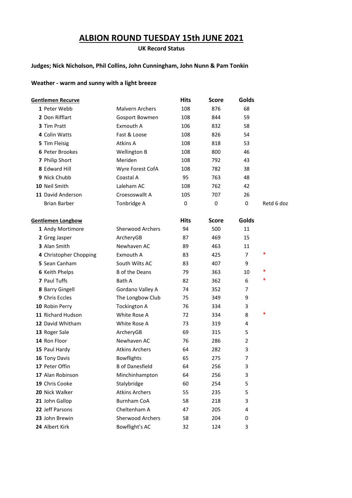# **ALBION ROUND TUESDAY 15th JUNE 2021**

#### **UK Record Status**

#### **Judges; Nick Nicholson, Phil Collins, John Cunningham, John Nunn & Pam Tonkin**

#### **Weather - warm and sunny with a light breeze**

| Gentlemen Recurve        |                         | <b>Hits</b> | <b>Score</b> | Golds |            |
|--------------------------|-------------------------|-------------|--------------|-------|------------|
| 1 Peter Webb             | <b>Malvern Archers</b>  | 108         | 876          | 68    |            |
| 2 Don Rifflart           | Gosport Bowmen          | 108         | 844          | 59    |            |
| 3 Tim Pratt              | Exmouth A               | 106         | 832          | 58    |            |
| 4 Colin Watts            | Fast & Loose            | 108         | 826          | 54    |            |
| 5 Tim Fleisig            | Atkins A                | 108         | 818          | 53    |            |
| 6 Peter Brookes          | <b>Wellington B</b>     | 108         | 800          | 46    |            |
| 7 Philip Short           | <b>Meriden</b>          | 108         | 792          | 43    |            |
| 8 Edward Hill            | Wyre Forest CofA        | 108         | 782          | 38    |            |
| 9 Nick Chubb             | Coastal A               | 95          | 763          | 48    |            |
| 10 Neil Smith            | Laleham AC              | 108         | 762          | 42    |            |
| 11 David Anderson        | Croesoswallt A          | 105         | 707          | 26    |            |
| <b>Brian Barber</b>      | Tonbridge A             | 0           | 0            | 0     | Retd 6 doz |
| <b>Gentlemen Longbow</b> |                         | <b>Hits</b> | <b>Score</b> | Golds |            |
| 1 Andy Mortimore         | <b>Sherwood Archers</b> | 94          | 500          | 11    |            |
| 2 Greg Jasper            | ArcheryGB               | 87          | 469          | 15    |            |
| 3 Alan Smith             | Newhaven AC             | 89          | 463          | 11    |            |
| 4 Christopher Chopping   | Exmouth A               | 83          | 425          | 7     | *          |
| 5 Sean Canham            | South Wilts AC          | 83          | 407          | 9     |            |
| <b>6 Keith Phelps</b>    | <b>B</b> of the Deans   | 79          | 363          | 10    | *          |
| 7 Paul Tuffs             | Bath A                  | 82          | 362          | 6     | *          |
| 8 Barry Gingell          | Gordano Valley A        | 74          | 352          | 7     |            |
| 9 Chris Eccles           | The Longbow Club        | 75          | 349          | 9     |            |
| 10 Robin Perry           | <b>Tockington A</b>     | 76          | 334          | 3     |            |
| 11 Richard Hudson        | White Rose A            | 72          | 334          | 8     | $\ast$     |
| 12 David Whitham         | White Rose A            | 73          | 319          | 4     |            |
| 13 Roger Sale            | ArcheryGB               | 69          | 315          | 5     |            |
| 14 Ron Floor             | Newhaven AC             | 76          | 286          | 2     |            |
| 15 Paul Hardy            | <b>Atkins Archers</b>   | 64          | 282          | 3     |            |
| 16 Tony Davis            | <b>Bowflights</b>       | 65          | 275          | 7     |            |
| 17 Peter Offin           | <b>B</b> of Danesfield  | 64          | 256          | 3     |            |
| 17 Alan Robinson         | Minchinhampton          | 64          | 256          | 3     |            |
| 19 Chris Cooke           | Stalybridge             | 60          | 254          | 5     |            |
| 20 Nick Walker           | <b>Atkins Archers</b>   | 55          | 235          | 5     |            |
| 21 John Gallop           | <b>Burnham CoA</b>      | 58          | 218          | 3     |            |
| 22 Jeff Parsons          | Cheltenham A            | 47          | 205          | 4     |            |
| 23 John Brewin           | Sherwood Archers        | 58          | 204          | 0     |            |
| 24 Albert Kirk           | Bowflight's AC          | 32          | 124          | 3     |            |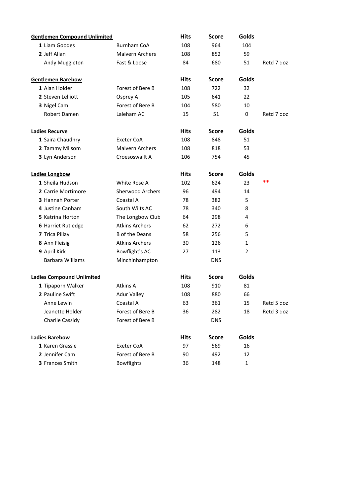| <b>Gentlemen Compound Unlimited</b> |                         | <b>Hits</b> | Score        | Golds |            |
|-------------------------------------|-------------------------|-------------|--------------|-------|------------|
| 1 Liam Goodes                       | <b>Burnham CoA</b>      | 108         | 964          | 104   |            |
| 2 Jeff Allan                        | <b>Malvern Archers</b>  | 108         | 852          | 59    |            |
| Andy Muggleton                      | Fast & Loose            | 84          | 680          | 51    | Retd 7 doz |
| <b>Gentlemen Barebow</b>            |                         | <b>Hits</b> | <b>Score</b> | Golds |            |
| 1 Alan Holder                       | Forest of Bere B        | 108         | 722          | 32    |            |
| 2 Steven Lelliott                   | Osprey A                | 105         | 641          | 22    |            |
| 3 Nigel Cam                         | Forest of Bere B        | 104         | 580          | 10    |            |
| Robert Damen                        | Laleham AC              | 15          | 51           | 0     | Retd 7 doz |
| <b>Ladies Recurve</b>               |                         | <b>Hits</b> | <b>Score</b> | Golds |            |
| 1 Saira Chaudhry                    | Exeter CoA              | 108         | 848          | 51    |            |
| 2 Tammy Milsom                      | <b>Malvern Archers</b>  | 108         | 818          | 53    |            |
| 3 Lyn Anderson                      | Croesoswallt A          | 106         | 754          | 45    |            |
| <b>Ladies Longbow</b>               |                         | <b>Hits</b> | <b>Score</b> | Golds |            |
| 1 Sheila Hudson                     | White Rose A            | 102         | 624          | 23    | **         |
| 2 Carrie Mortimore                  | <b>Sherwood Archers</b> | 96          | 494          | 14    |            |
| <b>3 Hannah Porter</b>              | Coastal A               | 78          | 382          | 5     |            |
| 4 Justine Canham                    | South Wilts AC          | 78          | 340          | 8     |            |
| 5 Katrina Horton                    | The Longbow Club        | 64          | 298          | 4     |            |
| 6 Harriet Rutledge                  | <b>Atkins Archers</b>   | 62          | 272          | 6     |            |
| 7 Trica Pillay                      | <b>B</b> of the Deans   | 58          | 256          | 5     |            |
| 8 Ann Fleisig                       | <b>Atkins Archers</b>   | 30          | 126          | 1     |            |
| 9 April Kirk                        | Bowflight's AC          | 27          | 113          | 2     |            |
| <b>Barbara Williams</b>             | Minchinhampton          |             | <b>DNS</b>   |       |            |
| <b>Ladies Compound Unlimited</b>    |                         | <b>Hits</b> | <b>Score</b> | Golds |            |
| 1 Tipaporn Walker                   | Atkins A                | 108         | 910          | 81    |            |
| 2 Pauline Swift                     | <b>Adur Valley</b>      | 108         | 880          | 66    |            |
| Anne Lewin                          | Coastal A               | 63          | 361          | 15    | Retd 5 doz |
| Jeanette Holder                     | Forest of Bere B        | 36          | 282          | 18    | Retd 3 doz |
| Charlie Cassidy                     | Forest of Bere B        |             | <b>DNS</b>   |       |            |
| <b>Ladies Barebow</b>               |                         | <b>Hits</b> | <b>Score</b> | Golds |            |
| 1 Karen Grassie                     | Exeter CoA              | 97          | 569          | 16    |            |
| 2 Jennifer Cam                      | Forest of Bere B        | 90          | 492          | 12    |            |
| 3 Frances Smith                     | <b>Bowflights</b>       | 36          | 148          | 1     |            |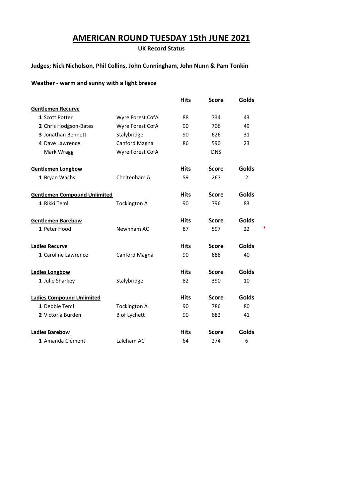# **AMERICAN ROUND TUESDAY 15th JUNE 2021**

**UK Record Status**

#### **Judges; Nick Nicholson, Phil Collins, John Cunningham, John Nunn & Pam Tonkin**

#### **Weather - warm and sunny with a light breeze**

|                                     |                     | <b>Hits</b> | <b>Score</b> | Golds        |   |
|-------------------------------------|---------------------|-------------|--------------|--------------|---|
| <b>Gentlemen Recurve</b>            |                     |             |              |              |   |
| 1 Scott Potter                      | Wyre Forest CofA    | 88          | 734          | 43           |   |
| 2 Chris Hodgson-Bates               | Wyre Forest CofA    | 90          | 706          | 49           |   |
| 3 Jonathan Bennett                  | Stalybridge         | 90          | 626          | 31           |   |
| 4 Dave Lawrence                     | Canford Magna       | 86          | 590          | 23           |   |
| Mark Wragg                          | Wyre Forest CofA    |             | <b>DNS</b>   |              |   |
| <b>Gentlemen Longbow</b>            |                     | <b>Hits</b> | <b>Score</b> | <b>Golds</b> |   |
| 1 Bryan Wachs                       | Cheltenham A        | 59          | 267          | 2            |   |
| <b>Gentlemen Compound Unlimited</b> |                     | <b>Hits</b> | <b>Score</b> | Golds        |   |
| 1 Rikki Teml                        | <b>Tockington A</b> | 90          | 796          | 83           |   |
| <b>Gentlemen Barebow</b>            |                     | <b>Hits</b> | <b>Score</b> | <b>Golds</b> |   |
| 1 Peter Hood                        | Newnham AC          | 87          | 597          | 22           | * |
| <b>Ladies Recurve</b>               |                     | <b>Hits</b> | <b>Score</b> | <b>Golds</b> |   |
| 1 Caroline Lawrence                 | Canford Magna       | 90          | 688          | 40           |   |
| <b>Ladies Longbow</b>               |                     | <b>Hits</b> | <b>Score</b> | <b>Golds</b> |   |
| 1 Julie Sharkey                     | Stalybridge         | 82          | 390          | 10           |   |
| <b>Ladies Compound Unlimited</b>    |                     | <b>Hits</b> | <b>Score</b> | <b>Golds</b> |   |
| 1 Debbie Teml                       | <b>Tockington A</b> | 90          | 786          | 80           |   |
| 2 Victoria Burden                   | <b>B</b> of Lychett | 90          | 682          | 41           |   |
| <b>Ladies Barebow</b>               |                     | <b>Hits</b> | <b>Score</b> | Golds        |   |
| 1 Amanda Clement                    | Laleham AC          | 64          | 274          | 6            |   |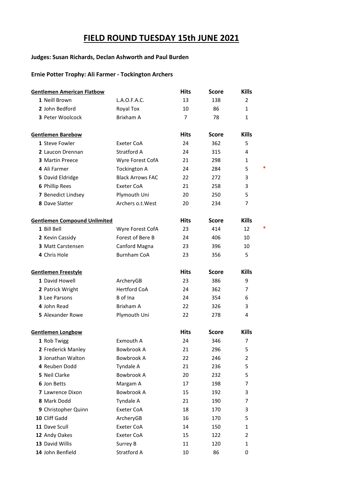# **FIELD ROUND TUESDAY 15th JUNE 2021**

#### **Judges: Susan Richards, Declan Ashworth and Paul Burden**

#### **Ernie Potter Trophy: Ali Farmer - Tockington Archers**

| <b>Gentlemen American Flatbow</b>   |                         | <b>Hits</b>    | Score        | <b>Kills</b> |   |
|-------------------------------------|-------------------------|----------------|--------------|--------------|---|
| 1 Neill Brown                       | L.A.O.F.A.C.            | 13             | 138          | 2            |   |
| 2 John Bedford                      | Royal Tox               | 10             | 86           | $\mathbf{1}$ |   |
| 3 Peter Woolcock                    | Brixham A               | $\overline{7}$ | 78           | $\mathbf{1}$ |   |
| <b>Gentlemen Barebow</b>            |                         | <b>Hits</b>    | <b>Score</b> | <b>Kills</b> |   |
| 1 Steve Fowler                      | Exeter CoA              | 24             | 362          | 5            |   |
| 2 Laucon Drennan                    | Stratford A             | 24             | 315          | 4            |   |
| 3 Martin Preece                     | Wyre Forest CofA        | 21             | 298          | 1            |   |
| 4 Ali Farmer                        | <b>Tockington A</b>     | 24             | 284          | 5            |   |
| 5 David Eldridge                    | <b>Black Arrows FAC</b> | 22             | 272          | 3            |   |
| 6 Phillip Rees                      | <b>Exeter CoA</b>       | 21             | 258          | 3            |   |
| 7 Benedict Lindsey                  | Plymouth Uni            | 20             | 250          | 5            |   |
| 8 Dave Slatter                      | Archers o.t. West       | 20             | 234          | 7            |   |
| <b>Gentlemen Compound Unlimited</b> |                         | <b>Hits</b>    | <b>Score</b> | <b>Kills</b> |   |
| 1 Bill Bell                         | Wyre Forest CofA        | 23             | 414          | 12           | * |
| 2 Kevin Cassidy                     | Forest of Bere B        | 24             | 406          | 10           |   |
| 3 Matt Carstensen                   | Canford Magna           | 23             | 396          | 10           |   |
| 4 Chris Hole                        | <b>Burnham CoA</b>      | 23             | 356          | 5            |   |
| <b>Gentlemen Freestyle</b>          |                         | <b>Hits</b>    | <b>Score</b> | <b>Kills</b> |   |
| 1 David Howell                      | ArcheryGB               | 23             | 386          | 9            |   |
| 2 Patrick Wright                    | <b>Hertford CoA</b>     | 24             | 362          | 7            |   |
| <b>3</b> Lee Parsons                | B of Ina                | 24             | 354          | 6            |   |
| 4 John Read                         | Brixham A               | 22             | 326          | 3            |   |
| 5 Alexander Rowe                    | Plymouth Uni            | 22             | 278          | 4            |   |
| <b>Gentlemen Longbow</b>            |                         | <b>Hits</b>    | <b>Score</b> | <b>Kills</b> |   |
| 1 Rob Twigg                         | Exmouth A               | 24             | 346          | 7            |   |
| 2 Frederick Manley                  | Bowbrook A              | 21             | 296          | 5            |   |
| 3 Jonathan Walton                   | Bowbrook A              | 22             | 246          | 2            |   |
| 4 Reuben Dodd                       | Tyndale A               | 21             | 236          | 5            |   |
| 5 Neil Clarke                       | <b>Bowbrook A</b>       | 20             | 232          | 5            |   |
| 6 Jon Betts                         | Margam A                | 17             | 198          | 7            |   |
| 7 Lawrence Dixon                    | Bowbrook A              | 15             | 192          | 3            |   |
| 8 Mark Dodd                         | Tyndale A               | 21             | 190          | 7            |   |
| 9 Christopher Quinn                 | Exeter CoA              | 18             | 170          | 3            |   |
| 10 Cliff Gadd                       | ArcheryGB               | 16             | 170          | 5            |   |
| 11 Dave Scull                       | Exeter CoA              | 14             | 150          | 1            |   |
| 12 Andy Oakes                       | Exeter CoA              | 15             | 122          | 2            |   |
| 13 David Willis                     | Surrey B                | 11             | 120          | 1            |   |
| 14 John Benfield                    | Stratford A             | 10             | 86           | 0            |   |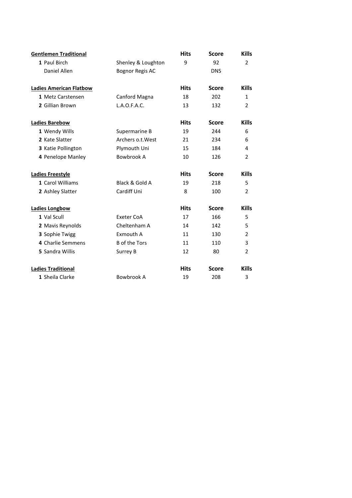| <b>Gentlemen Traditional</b>   |                        | <b>Hits</b> | <b>Score</b> | <b>Kills</b>   |
|--------------------------------|------------------------|-------------|--------------|----------------|
| 1 Paul Birch                   | Shenley & Loughton     | 9           | 92           | $\overline{2}$ |
| Daniel Allen                   | <b>Bognor Regis AC</b> |             | <b>DNS</b>   |                |
| <b>Ladies American Flatbow</b> |                        | <b>Hits</b> | <b>Score</b> | <b>Kills</b>   |
| 1 Metz Carstensen              | Canford Magna          | 18          | 202          | $\mathbf{1}$   |
| 2 Gillian Brown                | L.A.O.F.A.C.           | 13          | 132          | $\overline{2}$ |
| <b>Ladies Barebow</b>          |                        | <b>Hits</b> | <b>Score</b> | <b>Kills</b>   |
| 1 Wendy Wills                  | Supermarine B          | 19          | 244          | 6              |
| 2 Kate Slatter                 | Archers o.t. West      | 21          | 234          | 6              |
| 3 Katie Pollington             | Plymouth Uni           | 15          | 184          | 4              |
| 4 Penelope Manley              | Bowbrook A             | 10          | 126          | 2              |
| <b>Ladies Freestyle</b>        |                        | <b>Hits</b> | <b>Score</b> | <b>Kills</b>   |
| 1 Carol Williams               | Black & Gold A         | 19          | 218          | 5              |
| 2 Ashley Slatter               | Cardiff Uni            | 8           | 100          | $\overline{2}$ |
| <b>Ladies Longbow</b>          |                        | <b>Hits</b> | <b>Score</b> | <b>Kills</b>   |
| 1 Val Scull                    | <b>Exeter CoA</b>      | 17          | 166          | 5              |
| 2 Mavis Reynolds               | Cheltenham A           | 14          | 142          | 5              |
| 3 Sophie Twigg                 | Exmouth A              | 11          | 130          | $\overline{2}$ |
| 4 Charlie Semmens              | <b>B</b> of the Tors   | 11          | 110          | 3              |
| 5 Sandra Willis                | Surrey B               | 12          | 80           | $\overline{2}$ |
| <b>Ladies Traditional</b>      |                        | <b>Hits</b> | <b>Score</b> | <b>Kills</b>   |
| 1 Sheila Clarke                | Bowbrook A             | 19          | 208          | 3              |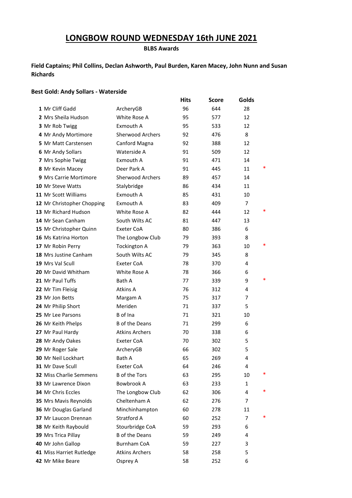# **LONGBOW ROUND WEDNESDAY 16th JUNE 2021**

**BLBS Awards**

#### **Field Captains; Phil Collins, Declan Ashworth, Paul Burden, Karen Macey, John Nunn and Susan Richards**

#### **Best Gold: Andy Sollars - Waterside**

|                                |                         | <b>Hits</b> | <b>Score</b> | Golds          |   |
|--------------------------------|-------------------------|-------------|--------------|----------------|---|
| 1 Mr Cliff Gadd                | ArcheryGB               | 96          | 644          | 28             |   |
| 2 Mrs Sheila Hudson            | White Rose A            | 95          | 577          | 12             |   |
| 3 Mr Rob Twigg                 | Exmouth A               | 95          | 533          | 12             |   |
| 4 Mr Andy Mortimore            | <b>Sherwood Archers</b> | 92          | 476          | 8              |   |
| 5 Mr Matt Carstensen           | Canford Magna           | 92          | 388          | 12             |   |
| 6 Mr Andy Sollars              | Waterside A             | 91          | 509          | 12             |   |
| 7 Mrs Sophie Twigg             | Exmouth A               | 91          | 471          | 14             |   |
| 8 Mr Kevin Macey               | Deer Park A             | 91          | 445          | 11             | * |
| 9 Mrs Carrie Mortimore         | <b>Sherwood Archers</b> | 89          | 457          | 14             |   |
| <b>10 Mr Steve Watts</b>       | Stalybridge             | 86          | 434          | 11             |   |
| <b>11 Mr Scott Williams</b>    | Exmouth A               | 85          | 431          | 10             |   |
| 12 Mr Christopher Chopping     | Exmouth A               | 83          | 409          | $\overline{7}$ |   |
| 13 Mr Richard Hudson           | White Rose A            | 82          | 444          | 12             | * |
| 14 Mr Sean Canham              | South Wilts AC          | 81          | 447          | 13             |   |
| 15 Mr Christopher Quinn        | Exeter CoA              | 80          | 386          | 6              |   |
| 16 Ms Katrina Horton           | The Longbow Club        | 79          | 393          | 8              |   |
| 17 Mr Robin Perry              | <b>Tockington A</b>     | 79          | 363          | 10             |   |
| 18 Mrs Justine Canham          | South Wilts AC          | 79          | 345          | 8              |   |
| 19 Mrs Val Scull               | <b>Exeter CoA</b>       | 78          | 370          | 4              |   |
| 20 Mr David Whitham            | White Rose A            | 78          | 366          | 6              |   |
| 21 Mr Paul Tuffs               | Bath A                  | 77          | 339          | 9              | * |
| 22 Mr Tim Fleisig              | Atkins A                | 76          | 312          | 4              |   |
| 23 Mr Jon Betts                | Margam A                | 75          | 317          | 7              |   |
| 24 Mr Philip Short             | Meriden                 | 71          | 337          | 5              |   |
| 25 Mr Lee Parsons              | B of Ina                | 71          | 321          | 10             |   |
| 26 Mr Keith Phelps             | <b>B</b> of the Deans   | 71          | 299          | 6              |   |
| 27 Mr Paul Hardy               | <b>Atkins Archers</b>   | 70          | 338          | 6              |   |
| 28 Mr Andy Oakes               | <b>Exeter CoA</b>       | 70          | 302          | 5              |   |
| 29 Mr Roger Sale               | ArcheryGB               | 66          | 302          | 5              |   |
| 30 Mr Neil Lockhart            | Bath A                  | 65          | 269          | 4              |   |
| <b>31 Mr Dave Scull</b>        | Exeter CoA              | 64          | 246          | 4              |   |
| <b>32 Miss Charlie Semmens</b> | <b>B</b> of the Tors    | 63          | 295          | 10             | ∗ |
| 33 Mr Lawrence Dixon           | Bowbrook A              | 63          | 233          | 1              |   |
| <b>34 Mr Chris Eccles</b>      | The Longbow Club        | 62          | 306          | 4              |   |
| <b>35 Mrs Mavis Reynolds</b>   | Cheltenham A            | 62          | 276          | 7              |   |
| 36 Mr Douglas Garland          | Minchinhampton          | 60          | 278          | 11             |   |
| 37 Mr Laucon Drennan           | Stratford A             | 60          | 252          | 7              |   |
| 38 Mr Keith Raybould           | Stourbridge CoA         | 59          | 293          | 6              |   |
| 39 Mrs Trica Pillay            | <b>B</b> of the Deans   | 59          | 249          | 4              |   |
| 40 Mr John Gallop              | <b>Burnham CoA</b>      | 59          | 227          | 3              |   |
| 41 Miss Harriet Rutledge       | <b>Atkins Archers</b>   | 58          | 258          | 5              |   |
| 42 Mr Mike Beare               | Osprey A                | 58          | 252          | 6              |   |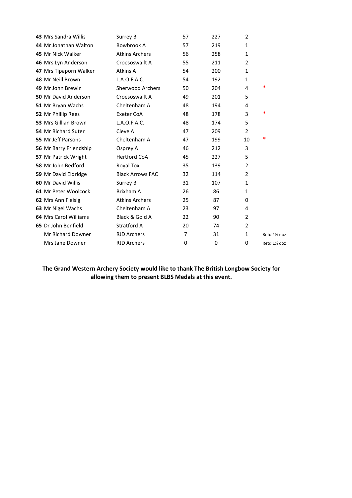| 43 Mrs Sandra Willis         | Surrey B                | 57             | 227 | $\overline{2}$ |               |
|------------------------------|-------------------------|----------------|-----|----------------|---------------|
| 44 Mr Jonathan Walton        | Bowbrook A              | 57             | 219 | $\mathbf{1}$   |               |
| 45 Mr Nick Walker            | <b>Atkins Archers</b>   | 56             | 258 | $\mathbf{1}$   |               |
| 46 Mrs Lyn Anderson          | Croesoswallt A          | 55             | 211 | $\overline{2}$ |               |
| 47 Mrs Tipaporn Walker       | Atkins A                | 54             | 200 | $\mathbf{1}$   |               |
| 48 Mr Neill Brown            | L.A.O.F.A.C.            | 54             | 192 | 1              |               |
| 49 Mr John Brewin            | Sherwood Archers        | 50             | 204 | 4              | *             |
| <b>50 Mr David Anderson</b>  | Croesoswallt A          | 49             | 201 | 5              |               |
| 51 Mr Bryan Wachs            | Cheltenham A            | 48             | 194 | 4              |               |
| 52 Mr Phillip Rees           | Exeter CoA              | 48             | 178 | 3              | *             |
| 53 Mrs Gillian Brown         | L.A.O.F.A.C.            | 48             | 174 | 5              |               |
| 54 Mr Richard Suter          | Cleve A                 | 47             | 209 | 2              |               |
| 55 Mr Jeff Parsons           | Cheltenham A            | 47             | 199 | 10             | *             |
| 56 Mr Barry Friendship       | Osprey A                | 46             | 212 | 3              |               |
| 57 Mr Patrick Wright         | <b>Hertford CoA</b>     | 45             | 227 | 5              |               |
| 58 Mr John Bedford           | Royal Tox               | 35             | 139 | $\overline{2}$ |               |
| 59 Mr David Eldridge         | <b>Black Arrows FAC</b> | 32             | 114 | 2              |               |
| <b>60 Mr David Willis</b>    | Surrey B                | 31             | 107 | $\mathbf{1}$   |               |
| 61 Mr Peter Woolcock         | Brixham A               | 26             | 86  | $\mathbf{1}$   |               |
| 62 Mrs Ann Fleisig           | <b>Atkins Archers</b>   | 25             | 87  | 0              |               |
| 63 Mr Nigel Wachs            | Cheltenham A            | 23             | 97  | 4              |               |
| <b>64 Mrs Carol Williams</b> | Black & Gold A          | 22             | 90  | $\overline{2}$ |               |
| 65 Dr John Benfield          | Stratford A             | 20             | 74  | $\overline{2}$ |               |
| <b>Mr Richard Downer</b>     | <b>RJD Archers</b>      | $\overline{7}$ | 31  | $\mathbf{1}$   | Retd 11/2 doz |
| Mrs Jane Downer              | <b>RJD Archers</b>      | 0              | 0   | 0              | Retd 1% doz   |
|                              |                         |                |     |                |               |

#### **The Grand Western Archery Society would like to thank The British Longbow Society for allowing them to present BLBS Medals at this event.**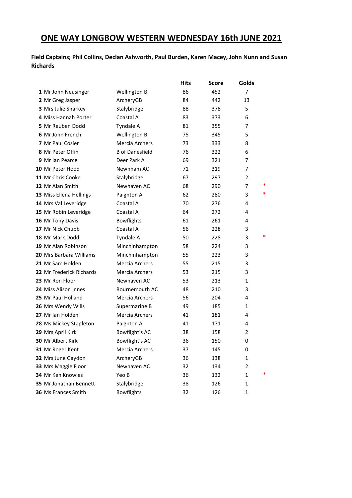# **ONE WAY LONGBOW WESTERN WEDNESDAY 16th JUNE 2021**

**Field Captains; Phil Collins, Declan Ashworth, Paul Burden, Karen Macey, John Nunn and Susan Richards**

|                                |                        | <b>Hits</b> | Score | Golds  |
|--------------------------------|------------------------|-------------|-------|--------|
| 1 Mr John Neusinger            | <b>Wellington B</b>    | 86          | 452   | 7      |
| 2 Mr Greg Jasper               | ArcheryGB              | 84          | 442   | 13     |
| 3 Mrs Julie Sharkey            | Stalybridge            | 88          | 378   | 5      |
| 4 Miss Hannah Porter           | Coastal A              | 83          | 373   | 6      |
| 5 Mr Reuben Dodd               | Tyndale A              | 81          | 355   | 7      |
| 6 Mr John French               | Wellington B           | 75          | 345   | 5      |
| <b>7</b> Mr Paul Cosier        | Mercia Archers         | 73          | 333   | 8      |
| 8 Mr Peter Offin               | <b>B</b> of Danesfield | 76          | 322   | 6      |
| <b>9</b> Mr Ian Pearce         | Deer Park A            | 69          | 321   | 7      |
| 10 Mr Peter Hood               | Newnham AC             | 71          | 319   | 7      |
| 11 Mr Chris Cooke              | Stalybridge            | 67          | 297   | 2      |
| 12 Mr Alan Smith               | Newhaven AC            | 68          | 290   | *<br>7 |
| 13 Miss Ellena Hellings        | Paignton A             | 62          | 280   | *<br>3 |
| 14 Mrs Val Leveridge           | Coastal A              | 70          | 276   | 4      |
| 15 Mr Robin Leveridge          | Coastal A              | 64          | 272   | 4      |
| 16 Mr Tony Davis               | <b>Bowflights</b>      | 61          | 261   | 4      |
| 17 Mr Nick Chubb               | Coastal A              | 56          | 228   | 3      |
| 18 Mr Mark Dodd                | Tyndale A              | 50          | 228   | 3      |
| 19 Mr Alan Robinson            | Minchinhampton         | 58          | 224   | 3      |
| <b>20</b> Mrs Barbara Williams | Minchinhampton         | 55          | 223   | 3      |
| 21 Mr Sam Holden               | Mercia Archers         | 55          | 215   | 3      |
| 22 Mr Frederick Richards       | Mercia Archers         | 53          | 215   | 3      |
| 23 Mr Ron Floor                | Newhaven AC            | 53          | 213   | 1      |
| <b>24 Miss Alison Innes</b>    | Bournemouth AC         | 48          | 210   | 3      |
| 25 Mr Paul Holland             | Mercia Archers         | 56          | 204   | 4      |
| 26 Mrs Wendy Wills             | Supermarine B          | 49          | 185   | 1      |
| 27 Mr Ian Holden               | Mercia Archers         | 41          | 181   | 4      |
| 28 Ms Mickey Stapleton         | Paignton A             | 41          | 171   | 4      |
| 29 Mrs April Kirk              | Bowflight's AC         | 38          | 158   | 2      |
| <b>30 Mr Albert Kirk</b>       | <b>Bowflight's AC</b>  | 36          | 150   | 0      |
| 31 Mr Roger Kent               | Mercia Archers         | 37          | 145   | 0      |
| 32 Mrs June Gaydon             | ArcheryGB              | 36          | 138   | 1      |
| 33 Mrs Maggie Floor            | Newhaven AC            | 32          | 134   | 2      |
| 34 Mr Ken Knowles              | Yeo B                  | 36          | 132   | 1      |
| 35 Mr Jonathan Bennett         | Stalybridge            | 38          | 126   | 1      |
| 36 Ms Frances Smith            | <b>Bowflights</b>      | 32          | 126   | 1      |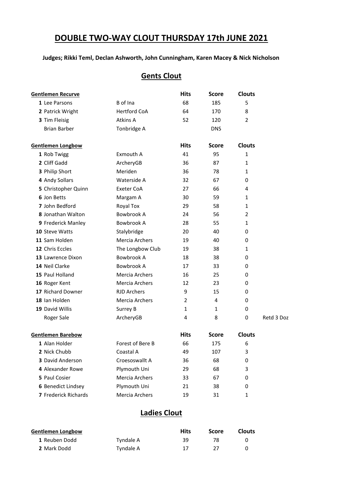# **DOUBLE TWO-WAY CLOUT THURSDAY 17th JUNE 2021**

#### **Judges; Rikki Teml, Declan Ashworth, John Cunningham, Karen Macey & Nick Nicholson**

## **Gents Clout**

| Gentlemen Recurve           |                     | <b>Hits</b> | <b>Score</b> | <b>Clouts</b> |            |
|-----------------------------|---------------------|-------------|--------------|---------------|------------|
| 1 Lee Parsons               | B of Ina            | 68          | 185          | 5             |            |
| 2 Patrick Wright            | <b>Hertford CoA</b> | 64          | 170          | 8             |            |
| 3 Tim Fleisig               | Atkins A            | 52          | 120          | 2             |            |
| <b>Brian Barber</b>         | Tonbridge A         |             | <b>DNS</b>   |               |            |
| <b>Gentlemen Longbow</b>    |                     | <b>Hits</b> | <b>Score</b> | <b>Clouts</b> |            |
| 1 Rob Twigg                 | Exmouth A           | 41          | 95           | 1             |            |
| 2 Cliff Gadd                | ArcheryGB           | 36          | 87           | 1             |            |
| 3 Philip Short              | Meriden             | 36          | 78           | 1             |            |
| 4 Andy Sollars              | Waterside A         | 32          | 67           | 0             |            |
| 5 Christopher Quinn         | Exeter CoA          | 27          | 66           | 4             |            |
| 6 Jon Betts                 | Margam A            | 30          | 59           | 1             |            |
| 7 John Bedford              | Royal Tox           | 29          | 58           | 1             |            |
| 8 Jonathan Walton           | Bowbrook A          | 24          | 56           | 2             |            |
| 9 Frederick Manley          | Bowbrook A          | 28          | 55           | 1             |            |
| 10 Steve Watts              | Stalybridge         | 20          | 40           | 0             |            |
| 11 Sam Holden               | Mercia Archers      | 19          | 40           | 0             |            |
| 12 Chris Eccles             | The Longbow Club    | 19          | 38           | 1             |            |
| 13 Lawrence Dixon           | <b>Bowbrook A</b>   | 18          | 38           | 0             |            |
| 14 Neil Clarke              | <b>Bowbrook A</b>   | 17          | 33           | 0             |            |
| 15 Paul Holland             | Mercia Archers      | 16          | 25           | 0             |            |
| 16 Roger Kent               | Mercia Archers      | 12          | 23           | 0             |            |
| 17 Richard Downer           | <b>RJD Archers</b>  | 9           | 15           | 0             |            |
| 18 Ian Holden               | Mercia Archers      | 2           | 4            | 0             |            |
| 19 David Willis             | Surrey B            | 1           | 1            | 0             |            |
| Roger Sale                  | ArcheryGB           | 4           | 8            | 0             | Retd 3 Doz |
| <b>Gentlemen Barebow</b>    |                     | <b>Hits</b> | <b>Score</b> | <b>Clouts</b> |            |
| 1 Alan Holder               | Forest of Bere B    | 66          | 175          | 6             |            |
| 2 Nick Chubb                | Coastal A           | 49          | 107          | 3             |            |
| <b>3</b> David Anderson     | Croesoswallt A      | 36          | 68           | 0             |            |
| 4 Alexander Rowe            | Plymouth Uni        | 29          | 68           | 3             |            |
| 5 Paul Cosier               | Mercia Archers      | 33          | 67           | 0             |            |
| 6 Benedict Lindsey          | Plymouth Uni        | 21          | 38           | 0             |            |
| <b>7</b> Frederick Richards | Mercia Archers      | 19          | 31           | 1             |            |

# **Ladies Clout**

| Gentlemen Longbow |           | <b>Hits</b> | Score | <b>Clouts</b> |
|-------------------|-----------|-------------|-------|---------------|
| 1 Reuben Dodd     | Tyndale A | 39          | 78    |               |
| 2 Mark Dodd       | Tyndale A | 17          |       |               |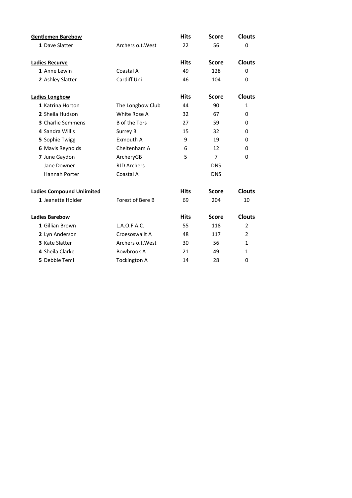| <b>Gentlemen Barebow</b>         |                      | <b>Hits</b> | <b>Score</b>   | <b>Clouts</b>  |
|----------------------------------|----------------------|-------------|----------------|----------------|
| 1 Dave Slatter                   | Archers o.t. West    | 22          | 56             | 0              |
|                                  |                      |             |                |                |
| <b>Ladies Recurve</b>            |                      | <b>Hits</b> | <b>Score</b>   | <b>Clouts</b>  |
| 1 Anne Lewin                     | Coastal A            | 49          | 128            | 0              |
| 2 Ashley Slatter                 | Cardiff Uni          | 46          | 104            | 0              |
| <b>Ladies Longbow</b>            |                      | <b>Hits</b> | <b>Score</b>   | <b>Clouts</b>  |
| 1 Katrina Horton                 | The Longbow Club     | 44          | 90             | $\mathbf{1}$   |
| 2 Sheila Hudson                  | White Rose A         | 32          | 67             | 0              |
| <b>3</b> Charlie Semmens         | <b>B</b> of the Tors | 27          | 59             | 0              |
| 4 Sandra Willis                  | Surrey B             | 15          | 32             | $\Omega$       |
| 5 Sophie Twigg                   | Exmouth A            | 9           | 19             | 0              |
| <b>6 Mavis Reynolds</b>          | Cheltenham A         | 6           | 12             | 0              |
| 7 June Gaydon                    | ArcheryGB            | 5           | $\overline{7}$ | $\Omega$       |
| Jane Downer                      | <b>RJD Archers</b>   |             | <b>DNS</b>     |                |
| Hannah Porter                    | Coastal A            |             | <b>DNS</b>     |                |
| <b>Ladies Compound Unlimited</b> |                      | <b>Hits</b> | <b>Score</b>   | <b>Clouts</b>  |
| 1 Jeanette Holder                | Forest of Bere B     | 69          | 204            | 10             |
| <b>Ladies Barebow</b>            |                      | <b>Hits</b> | <b>Score</b>   | <b>Clouts</b>  |
| 1 Gillian Brown                  | L.A.O.F.A.C.         | 55          | 118            | $\overline{2}$ |
| 2 Lyn Anderson                   | Croesoswallt A       | 48          | 117            | $\overline{2}$ |
| 3 Kate Slatter                   | Archers o.t. West    | 30          | 56             | $\mathbf{1}$   |
| 4 Sheila Clarke                  | Bowbrook A           | 21          | 49             | $\mathbf{1}$   |
| 5 Debbie Teml                    | <b>Tockington A</b>  | 14          | 28             | 0              |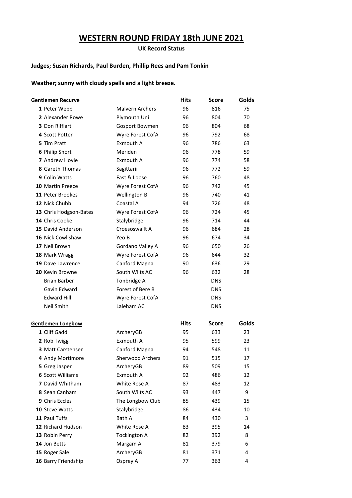# **WESTERN ROUND FRIDAY 18th JUNE 2021**

**UK Record Status**

#### **Judges; Susan Richards, Paul Burden, Phillip Rees and Pam Tonkin**

**Weather; sunny with cloudy spells and a light breeze.**

| Gentlemen Recurve        |                         | <b>Hits</b> | <b>Score</b> | <b>Golds</b> |
|--------------------------|-------------------------|-------------|--------------|--------------|
| 1 Peter Webb             | <b>Malvern Archers</b>  | 96          | 816          | 75           |
| 2 Alexander Rowe         | Plymouth Uni            | 96          | 804          | 70           |
| <b>3</b> Don Rifflart    | Gosport Bowmen          | 96          | 804          | 68           |
| 4 Scott Potter           | Wyre Forest CofA        | 96          | 792          | 68           |
| 5 Tim Pratt              | Exmouth A               | 96          | 786          | 63           |
| 6 Philip Short           | Meriden                 | 96          | 778          | 59           |
| 7 Andrew Hoyle           | Exmouth A               | 96          | 774          | 58           |
| 8 Gareth Thomas          | Sagittarii              | 96          | 772          | 59           |
| 9 Colin Watts            | Fast & Loose            | 96          | 760          | 48           |
| 10 Martin Preece         | Wyre Forest CofA        | 96          | 742          | 45           |
| 11 Peter Brookes         | Wellington B            | 96          | 740          | 41           |
| 12 Nick Chubb            | Coastal A               | 94          | 726          | 48           |
| 13 Chris Hodgson-Bates   | Wyre Forest CofA        | 96          | 724          | 45           |
| 14 Chris Cooke           | Stalybridge             | 96          | 714          | 44           |
| 15 David Anderson        | Croesoswallt A          | 96          | 684          | 28           |
| 16 Nick Cowlishaw        | Yeo B                   | 96          | 674          | 34           |
| 17 Neil Brown            | Gordano Valley A        | 96          | 650          | 26           |
| 18 Mark Wragg            | Wyre Forest CofA        | 96          | 644          | 32           |
| 19 Dave Lawrence         | Canford Magna           | 90          | 636          | 29           |
| 20 Kevin Browne          | South Wilts AC          | 96          | 632          | 28           |
| <b>Brian Barber</b>      | Tonbridge A             |             | <b>DNS</b>   |              |
| Gavin Edward             | Forest of Bere B        |             | <b>DNS</b>   |              |
| <b>Edward Hill</b>       | Wyre Forest CofA        |             | <b>DNS</b>   |              |
| Neil Smith               | Laleham AC              |             | <b>DNS</b>   |              |
| Gentlemen Longbow        |                         | <b>Hits</b> | <b>Score</b> | <b>Golds</b> |
| 1 Cliff Gadd             | ArcheryGB               | 95          | 633          | 23           |
| 2 Rob Twigg              | Exmouth A               | 95          | 599          | 23           |
| <b>3 Matt Carstensen</b> | Canford Magna           | 94          | 548          | 11           |
| 4 Andy Mortimore         | <b>Sherwood Archers</b> | 91          | 515          | 17           |
| 5 Greg Jasper            | ArcheryGB               | 89          | 509          | 15           |
| <b>6 Scott Williams</b>  | Exmouth A               | 92          | 486          | 12           |
| 7 David Whitham          | White Rose A            | 87          | 483          | 12           |
| 8 Sean Canham            | South Wilts AC          | 93          | 447          | 9            |
| 9 Chris Eccles           | The Longbow Club        | 85          | 439          | 15           |
| 10 Steve Watts           | Stalybridge             | 86          | 434          | 10           |
| 11 Paul Tuffs            | Bath A                  | 84          | 430          | 3            |
| 12 Richard Hudson        | White Rose A            | 83          | 395          | 14           |
| 13 Robin Perry           | <b>Tockington A</b>     | 82          | 392          | 8            |
| 14 Jon Betts             | Margam A                | 81          | 379          | 6            |
| 15 Roger Sale            | ArcheryGB               | 81          | 371          | 4            |
| 16 Barry Friendship      | Osprey A                | 77          | 363          | 4            |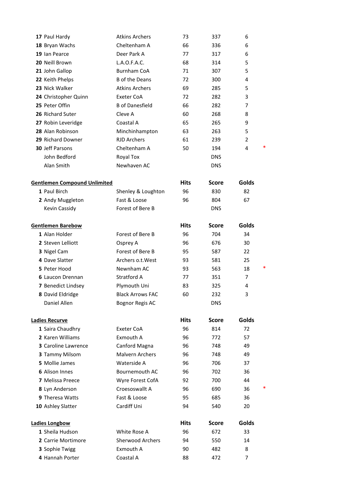| 17 Paul Hardy                         |         | <b>Atkins Archers</b>                   | 73          | 337          | 6              |   |
|---------------------------------------|---------|-----------------------------------------|-------------|--------------|----------------|---|
| 18 Bryan Wachs                        |         | Cheltenham A                            | 66          | 336          | 6              |   |
| 19 Ian Pearce                         |         | Deer Park A                             | 77          | 317          | 6              |   |
| 20 Neill Brown                        |         | L.A.O.F.A.C.                            | 68          | 314          | 5              |   |
| 21 John Gallop                        |         | <b>Burnham CoA</b>                      | 71          | 307          | 5              |   |
| 22 Keith Phelps                       |         | <b>B</b> of the Deans                   | 72          | 300          | 4              |   |
| 23 Nick Walker                        |         | <b>Atkins Archers</b>                   | 69          | 285          | 5              |   |
| 24 Christopher Quinn                  |         | Exeter CoA                              | 72          | 282          | 3              |   |
| 25 Peter Offin                        |         | <b>B</b> of Danesfield                  | 66          | 282          | 7              |   |
| 26 Richard Suter                      | Cleve A |                                         | 60          | 268          | 8              |   |
| 27 Robin Leveridge                    |         | Coastal A                               | 65          | 265          | 9              |   |
| 28 Alan Robinson                      |         | Minchinhampton                          | 63          | 263          | 5              |   |
| 29 Richard Downer                     |         | <b>RJD Archers</b>                      | 61          | 239          | $\overline{2}$ |   |
| 30 Jeff Parsons                       |         | Cheltenham A                            | 50          | 194          | 4              | * |
| John Bedford                          |         | Royal Tox                               |             | <b>DNS</b>   |                |   |
| Alan Smith                            |         | Newhaven AC                             |             | <b>DNS</b>   |                |   |
| <b>Gentlemen Compound Unlimited</b>   |         |                                         | <b>Hits</b> | <b>Score</b> | <b>Golds</b>   |   |
| 1 Paul Birch                          |         | Shenley & Loughton                      | 96          | 830          | 82             |   |
| 2 Andy Muggleton                      |         | Fast & Loose                            | 96          | 804          | 67             |   |
| Kevin Cassidy                         |         | Forest of Bere B                        |             | <b>DNS</b>   |                |   |
|                                       |         |                                         |             |              |                |   |
| <b>Gentlemen Barebow</b>              |         |                                         | <b>Hits</b> | <b>Score</b> | <b>Golds</b>   |   |
| 1 Alan Holder                         |         | Forest of Bere B                        | 96          | 704          | 34             |   |
| 2 Steven Lelliott                     |         | Osprey A                                | 96          | 676          | 30             |   |
| 3 Nigel Cam                           |         | Forest of Bere B                        | 95          | 587          | 22             |   |
| 4 Dave Slatter                        |         | Archers o.t. West                       | 93          | 581          | 25             |   |
| 5 Peter Hood                          |         | Newnham AC                              | 93          | 563          | 18             | * |
| <b>6</b> Laucon Drennan               |         | <b>Stratford A</b>                      | 77          | 351          | 7              |   |
| 7 Benedict Lindsey                    |         | Plymouth Uni                            | 83          | 325          | 4              |   |
| 8 David Eldridge                      |         | <b>Black Arrows FAC</b>                 | 60          | 232          | 3              |   |
| Daniel Allen                          |         | <b>Bognor Regis AC</b>                  |             | <b>DNS</b>   |                |   |
| <b>Ladies Recurve</b>                 |         |                                         | <b>Hits</b> | <b>Score</b> | Golds          |   |
| 1 Saira Chaudhry                      |         | Exeter CoA                              | 96          | 814          | 72             |   |
| 2 Karen Williams                      |         | Exmouth A                               | 96          | 772          | 57             |   |
| 3 Caroline Lawrence                   |         | Canford Magna                           | 96          | 748          | 49             |   |
| 3 Tammy Milsom                        |         | <b>Malvern Archers</b>                  | 96          | 748          | 49             |   |
| 5 Mollie James                        |         | Waterside A                             | 96          | 706          | 37             |   |
| <b>6</b> Alison Innes                 |         | Bournemouth AC                          | 96          | 702          | 36             |   |
| <b>7</b> Melissa Preece               |         | Wyre Forest CofA                        | 92          | 700          | 44             |   |
| 8 Lyn Anderson                        |         | Croesoswallt A                          | 96          | 690          | 36             | * |
| 9 Theresa Watts                       |         | Fast & Loose                            | 95          | 685          | 36             |   |
| 10 Ashley Slatter                     |         | Cardiff Uni                             | 94          | 540          | 20             |   |
|                                       |         |                                         |             |              |                |   |
| <b>Ladies Longbow</b>                 |         |                                         | Hits        | <b>Score</b> | Golds          |   |
| 1 Sheila Hudson<br>2 Carrie Mortimore |         | White Rose A<br><b>Sherwood Archers</b> | 96          | 672          | 33             |   |
|                                       |         |                                         | 94          | 550          | 14             |   |
| 3 Sophie Twigg                        |         | Exmouth A                               | 90          | 482          | 8              |   |
| 4 Hannah Porter                       |         | Coastal A                               | 88          | 472          | 7              |   |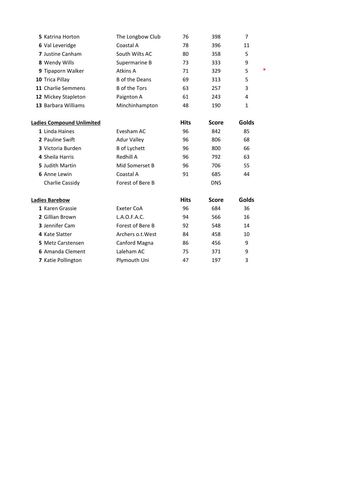|                       |                  |              | 7            |
|-----------------------|------------------|--------------|--------------|
| Coastal A             | 78               | 396          | 11           |
| South Wilts AC        | 80               | 358          | 5            |
| Supermarine B         | 73               | 333          | 9            |
| Atkins A              | 71               | 329          | $\ast$<br>5  |
| <b>B</b> of the Deans | 69               | 313          | 5            |
| <b>B</b> of the Tors  | 63               | 257          | 3            |
| Paignton A            | 61               | 243          | 4            |
| Minchinhampton        | 48               | 190          | 1            |
|                       | <b>Hits</b>      | <b>Score</b> | Golds        |
| Evesham AC            | 96               | 842          | 85           |
| <b>Adur Valley</b>    | 96               | 806          | 68           |
| <b>B</b> of Lychett   | 96               | 800          | 66           |
| Redhill A             | 96               | 792          | 63           |
| Mid Somerset B        | 96               | 706          | 55           |
| Coastal A             | 91               | 685          | 44           |
| Forest of Bere B      |                  | <b>DNS</b>   |              |
|                       | <b>Hits</b>      | <b>Score</b> | <b>Golds</b> |
| Exeter CoA            | 96               | 684          | 36           |
| L.A.O.F.A.C.          | 94               | 566          | 16           |
| Forest of Bere B      | 92               | 548          | 14           |
| Archers o.t. West     | 84               | 458          | 10           |
| Canford Magna         | 86               | 456          | 9            |
| Laleham AC            | 75               | 371          | 9            |
| Plymouth Uni          | 47               | 197          | 3            |
|                       | The Longbow Club | 76           | 398          |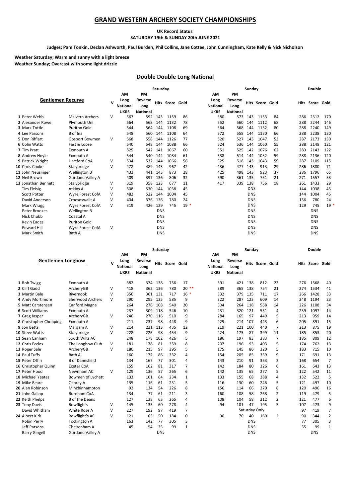#### **GRAND WESTERN ARCHERY SOCIETY CHAMPIONSHIPS**

#### **UK Record Status SATURDAY 19th & SUNDAY 20th JUNE 2021**

#### **Judges; Pam Tonkin, Declan Ashworth, Paul Burden, Phil Collins, Jane Cottee, John Cunningham, Kate Kelly & Nick Nicholson**

#### **Weather Sunday; Overcast with some light drizzle Weather Saturday; Warm and sunny with a light breeze**

#### **Double Double Long National**

|                          |                        | Saturday |                 |                 |             |            |       |                 | Sunday          |            |                        |    |     |                        | <b>Double</b> |
|--------------------------|------------------------|----------|-----------------|-----------------|-------------|------------|-------|-----------------|-----------------|------------|------------------------|----|-----|------------------------|---------------|
|                          |                        |          | AM              | PM              |             |            |       | AM              | PM              |            |                        |    |     |                        |               |
| <b>Gentlemen Recurve</b> |                        | v        | Long            | Reverse         | <b>Hits</b> | Score Gold |       | Long            | Reverse         |            | <b>Hits Score Gold</b> |    |     | <b>Hits Score Gold</b> |               |
|                          |                        |          | <b>National</b> | Long            |             |            |       | <b>National</b> | Long            |            |                        |    |     |                        |               |
|                          |                        |          | <b>UKRS</b>     | <b>National</b> |             |            |       | <b>UKRS</b>     | <b>National</b> |            |                        |    |     |                        |               |
| 1 Peter Webb             | <b>Malvern Archers</b> | $\vee$   | 567             | 592             | 143         | 1159       | 86    | 580             | 573             | 143        | 1153                   | 84 | 286 | 2312                   | 170           |
| 2 Alexander Rowe         | Plymouth Uni           |          | 564             | 568             | 144         | 1132       | 78    | 552             | 560             | 144        | 1112                   | 68 | 288 | 2244                   | 146           |
| 3 Mark Tottle            | <b>Puriton Gold</b>    |          | 544             | 564             | 144         | 1108       | 69    | 564             | 568             | 144        | 1132                   | 80 | 288 | 2240                   | 149           |
| 4 Lee Parsons            | B of Ina               |          | 548             | 560             | 144         | 1108       | 64    | 572             | 558             | 144        | 1130                   | 66 | 288 | 2238                   | 130           |
| 5 Don Rifflart           | <b>Gosport Bowmen</b>  | $\vee$   | 568             | 558             | 144         | 1126       | 77    | 520             | 527             | 143        | 1047                   | 53 | 287 | 2173                   | 130           |
| 6 Colin Watts            | Fast & Loose           |          | 540             | 548             | 144         | 1088       | 66    | 524             | 536             | 144        | 1060                   | 55 | 288 | 2148                   | 121           |
| 7 Tim Pratt              | Exmouth A              |          | 525             | 542             | 141         | 1067       | 60    | 551             | 525             | 142        | 1076                   | 62 | 283 | 2143                   | 122           |
| 8 Andrew Hoyle           | Exmouth A              |          | 544             | 540             | 144         | 1084       | 61    | 538             | 514             | 144        | 1052                   | 59 | 288 | 2136                   | 120           |
| 9 Patrick Wright         | <b>Hertford CoA</b>    | v        | 534             | 532             | 144         | 1066       | 56    | 525             | 518             | 143        | 1043                   | 59 | 287 | 2109                   | 115           |
| 10 Chris Cooke           | Stalybridge            | $\vee$   | 478             | 489             | 143         | 967        | 42    | 436             | 477             | 143        | 913                    | 29 | 286 | 1880                   | 71            |
| 11 John Neusinger        | <b>Wellington B</b>    |          | 432             | 441             | 143         | 873        | 28    | 425             | 498             | 143        | 923                    | 37 | 286 | 1796                   | 65            |
| 12 Neil Brown            | Gordano Valley A       |          | 409             | 397             | 136         | 806        | 32    | 390             | 361             | 135        | 751                    | 21 | 271 | 1557                   | 53            |
| 13 Jonathan Bennett      | Stalybridge            | v        | 319             | 358             | 123         | 677        | 11    | 417             | 339             | 138        | 756                    | 18 | 261 | 1433                   | 29            |
| <b>Tim Fleisig</b>       | Atkins A               | v        | 508             | 530             | 144         | 1038       | 45    |                 |                 | <b>DNS</b> |                        |    | 144 | 1038                   | 45            |
| <b>Scott Potter</b>      | Wyre Forest CofA       | $\vee$   | 482             | 522             | 144         | 1004       | 45    |                 |                 | <b>DNS</b> |                        |    | 144 | 1004                   | 45            |
| David Anderson           | Croesoswallt A         | $\vee$   | 404             | 376             | 136         | 780        | 24    |                 |                 | <b>DNS</b> |                        |    | 136 | 780                    | 24            |
| Mark Wragg               | Wyre Forest CofA       | $\vee$   | 319             | 426             | 129         | 745        | $19*$ |                 |                 | <b>DNS</b> |                        |    | 129 | 745                    | 19            |
| Peter Brookes            | Wellington B           |          |                 |                 | <b>DNS</b>  |            |       |                 |                 | <b>DNS</b> |                        |    |     | <b>DNS</b>             |               |
| Nick Chubb               | Coastal A              |          |                 |                 | <b>DNS</b>  |            |       |                 |                 | <b>DNS</b> |                        |    |     | <b>DNS</b>             |               |
| <b>Kevin Eades</b>       | <b>Puriton Gold</b>    |          |                 |                 | <b>DNS</b>  |            |       |                 |                 | <b>DNS</b> |                        |    |     | <b>DNS</b>             |               |
| <b>Edward Hill</b>       | Wyre Forest CofA       | $\vee$   |                 |                 | <b>DNS</b>  |            |       |                 |                 | <b>DNS</b> |                        |    |     | <b>DNS</b>             |               |
| Mark Smith               | Bath A                 |          |                 |                 | <b>DNS</b>  |            |       |                 |                 | <b>DNS</b> |                        |    |     | <b>DNS</b>             |               |

|                          |                         |        | Saturday                                     |                                          |            |                        | Sunday       |                                                     |                                          |            |                 | <b>Double</b>  |     |                        |                |
|--------------------------|-------------------------|--------|----------------------------------------------|------------------------------------------|------------|------------------------|--------------|-----------------------------------------------------|------------------------------------------|------------|-----------------|----------------|-----|------------------------|----------------|
| <b>Gentlemen Longbow</b> |                         | v      | AM<br>Long<br><b>National</b><br><b>UKRS</b> | PM<br>Reverse<br>Long<br><b>National</b> |            | <b>Hits Score Gold</b> |              | <b>AM</b><br>Long<br><b>National</b><br><b>UKRS</b> | PM<br>Reverse<br>Long<br><b>National</b> |            | Hits Score Gold |                |     | <b>Hits Score Gold</b> |                |
| 1 Rob Twigg              | Exmouth A               |        | 382                                          | 374                                      | 138        | 756                    | 17           | 391                                                 | 421                                      | 138        | 812             | 23             | 276 | 1568                   | 40             |
| 2 Cliff Gadd             | ArcheryGB               | V      | 418                                          | 362                                      | 136        | 780                    | $20**$       | 389                                                 | 365                                      | 138        | 754             | 21             | 274 | 1534                   | 41             |
| 3 Martin Bale            | Rivernook               | v      | 356                                          | 361                                      | 131        | 717                    | $16*$        | 332                                                 | 379                                      | 135        | 711             | 17             | 266 | 1428                   | 33             |
| 4 Andy Mortimore         | <b>Sherwood Archers</b> | v      | 290                                          | 295                                      | 125        | 585                    | 9            | 322                                                 | 287                                      | 123        | 609             | 14             | 248 | 1194                   | 23             |
| 5 Matt Carstensen        | Canford Magna           |        | 264                                          | 276                                      | 108        | 540                    | 20           | 304                                                 | 264                                      | 118        | 568             | 14             | 226 | 1108                   | 34             |
| <b>6 Scott Williams</b>  | Exmouth A               |        | 237                                          | 309                                      | 118        | 546                    | 10           | 231                                                 | 320                                      | 121        | 551             | 4              | 239 | 1097                   | 14             |
| 7 Greg Jasper            | ArcheryGB               | V      | 240                                          | 270                                      | 116        | 510                    | 9            | 284                                                 | 165                                      | 97         | 449             | 5              | 213 | 959                    | 14             |
| 8 Christopher Chopping   | Exmouth A               |        | 211                                          | 237                                      | 98         | 448                    | 9            | 229                                                 | 214                                      | 107        | 443             | 6              | 205 | 891                    | 15             |
| 9 Jon Betts              | Margam A                | V      | 214                                          | 221                                      | 113        | 435                    | 12           | 219                                                 | 221                                      | 100        | 440             | 7              | 213 | 875                    | 19             |
| 10 Steve Watts           | Stalybridge             | V      | 228                                          | 226                                      | 98         | 454                    | 9            | 224                                                 | 175                                      | 87         | 399             | 11             | 185 | 853                    | 20             |
| 11 Sean Canham           | South Wilts AC          |        | 248                                          | 178                                      | 102        | 426                    | 5            | 186                                                 | 197                                      | 83         | 383             | 7              | 185 | 809                    | 12             |
| 12 Chris Eccles          | The Longbow Club        | V      | 181                                          | 178                                      | 81         | 359                    | 8            | 207                                                 | 196                                      | 93         | 403             | 5              | 174 | 762                    | 13             |
| 13 Roger Sale            | ArcheryGB               | V      | 180                                          | 215                                      | 97         | 395                    | 5            | 175                                                 | 145                                      | 86         | 320             | 5              | 183 | 715                    | 10             |
| 14 Paul Tuffs            | Bath A                  |        | 160                                          | 172                                      | 86         | 332                    | 4            | 154                                                 | 205                                      | 85         | 359             | 9              | 171 | 691                    | 13             |
| 15 Peter Offin           | <b>B</b> of Danesfield  |        | 134                                          | 167                                      | 77         | 301                    | 4            | 143                                                 | 210                                      | 91         | 353             | 3              | 168 | 654                    | $\overline{7}$ |
| 16 Christopher Quinn     | <b>Exeter CoA</b>       |        | 155                                          | 162                                      | 81         | 317                    | 7            | 142                                                 | 184                                      | 80         | 326             | 6              | 161 | 643                    | 13             |
| 17 Peter Hood            | Newnham AC              | $\vee$ | 129                                          | 136                                      | 57         | 265                    | 6            | 142                                                 | 135                                      | 65         | 277             | 5              | 122 | 542                    | 11             |
| 18 Michael Yeates        | Bowmen of Lychett       |        | 133                                          | 101                                      | 64         | 234                    | 1            | 133                                                 | 155                                      | 68         | 288             | 4              | 132 | 522                    | 5              |
| 19 Mike Beare            | Osprey A                |        | 135                                          | 116                                      | 61         | 251                    | 5            | 116                                                 | 130                                      | 60         | 246             | 5              | 121 | 497                    | 10             |
| 20 Alan Robinson         | Minchinhampton          |        | 92                                           | 134                                      | 54         | 226                    | 8            | 156                                                 | 114                                      | 66         | 270             | 8              | 120 | 496                    | 16             |
| 21 John Gallop           | <b>Burnham CoA</b>      |        | 134                                          | 77                                       | 61         | 211                    | 3            | 160                                                 | 108                                      | 58         | 268             | 2              | 119 | 479                    | 5              |
| 22 Keith Phelps          | <b>B</b> of the Deans   |        | 127                                          | 138                                      | 63         | 265                    | 4            | 108                                                 | 104                                      | 58         | 212             | $\overline{2}$ | 121 | 477                    | 6              |
| 23 Tony Davis            | <b>Bowflights</b>       | ٧      | 145                                          | 133                                      | 60         | 278                    | 4            | 94                                                  | 101                                      | 47         | 195             | 5              | 107 | 473                    | 9              |
| David Whitham            | White Rose A            | V      | 227                                          | 192                                      | 97         | 419                    | 7            |                                                     |                                          |            | Saturday Only   |                | 97  | 419                    | $\overline{7}$ |
| 24 Albert Kirk           | Bowflight's AC          | $\vee$ | 121                                          | 63                                       | 50         | 184                    | 0            | 90                                                  | 70                                       | 40         | 160             | 2              | 90  | 344                    | $\overline{2}$ |
| Robin Perry              | <b>Tockington A</b>     |        | 163                                          | 142                                      | 77         | 305                    | 3            |                                                     |                                          | <b>DNS</b> |                 |                | 77  | 305                    | 3              |
| Jeff Parsons             | Cheltenham A            |        | 45                                           | 54                                       | 35         | 99                     | $\mathbf{1}$ |                                                     |                                          | <b>DNS</b> |                 |                | 35  | 99                     | $\mathbf{1}$   |
| <b>Barry Gingell</b>     | Gordano Valley A        |        |                                              |                                          | <b>DNS</b> |                        |              |                                                     |                                          | <b>DNS</b> |                 |                |     | <b>DNS</b>             |                |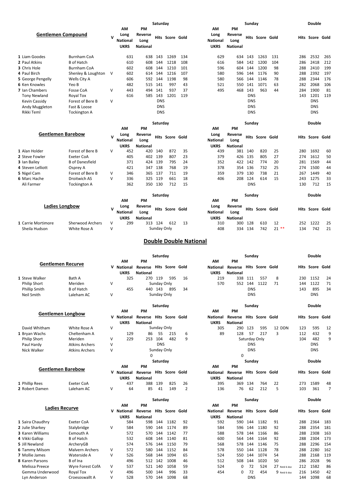|                                 |                         |        |                                 |                                    | Saturday    |                        |     |                                        |                                    | Sunday        |                        |               |     | <b>Double</b>          |          |
|---------------------------------|-------------------------|--------|---------------------------------|------------------------------------|-------------|------------------------|-----|----------------------------------------|------------------------------------|---------------|------------------------|---------------|-----|------------------------|----------|
|                                 |                         |        | AΜ                              | PМ                                 |             |                        |     | ΑМ                                     | PM                                 |               |                        |               |     |                        |          |
| <b>Gentlemen Compound</b>       |                         | v      | Long<br>National<br><b>UKRS</b> | Reverse<br>Long<br><b>National</b> |             | <b>Hits Score Gold</b> |     | Long<br><b>National</b><br><b>UKRS</b> | Reverse<br>Long<br><b>National</b> |               | <b>Hits Score Gold</b> |               |     | <b>Hits Score Gold</b> |          |
| 1 Liam Goodes                   | Burnham CoA             |        | 631                             | 638                                | 143         | 1269                   | 134 | 629                                    | 634                                | 143           | 1263                   | 131           | 286 | 2532                   | 265      |
| 2 Paul Atkins                   | B of Hatch              |        | 610                             | 608                                | 144         | 1218                   | 108 | 616                                    | 584                                | 142           | 1200                   | 104           | 286 | 2418                   | 212      |
| 3 Chris Hole                    | Burnham CoA             |        | 602                             | 608                                | 144         | 1210                   | 101 | 596                                    | 604                                | 144           | 1200                   | 98            | 288 | 2410                   | 199      |
| 4 Paul Birch                    |                         | V      | 602                             | 614                                | 144         | 1216                   | 107 | 580                                    | 596                                | 144           | 1176                   | 90            | 288 | 2392                   | 197      |
|                                 | Shenley & Loughton      |        |                                 |                                    |             |                        |     |                                        |                                    |               |                        |               |     |                        |          |
| 5 George Pengelly               | Wells City A            |        | 606                             | 592                                | 144         | 1198                   | 98  | 580                                    | 566                                | 144           | 1146                   | 78            | 288 | 2344                   | 176      |
| <b>6 Ken Knowles</b>            | Yeo B                   |        | 482                             | 515                                | 141         | 997                    | 43  | 521                                    | 550                                | 141           | 1071                   | 63            | 282 | 2068                   | 106      |
| 7 Ian Chambers                  | <b>Fosse CoA</b>        | V      | 443                             | 494                                | 141         | 937                    | 37  | 495                                    | 468                                | 143           | 963                    | 44            | 284 | 1900                   | 81       |
| <b>Tony Newland</b>             | Royal Tox               |        | 616                             | 585                                | 143         | 1201                   | 119 |                                        |                                    | <b>DNS</b>    |                        |               | 143 | 1201                   | 119      |
| Kevin Cassidy                   | Forest of Bere B        | V      |                                 |                                    | <b>DNS</b>  |                        |     |                                        |                                    | <b>DNS</b>    |                        |               |     | <b>DNS</b>             |          |
| Andy Muggleton                  | Fast & Loose            |        |                                 |                                    | <b>DNS</b>  |                        |     |                                        |                                    | <b>DNS</b>    |                        |               |     | <b>DNS</b>             |          |
| Rikki Teml                      | <b>Tockington A</b>     |        |                                 |                                    | <b>DNS</b>  |                        |     |                                        |                                    | <b>DNS</b>    |                        |               |     | <b>DNS</b>             |          |
|                                 |                         |        |                                 |                                    | Saturday    |                        |     |                                        |                                    | Sunday        |                        |               |     | Double                 |          |
|                                 |                         |        | ΑМ                              | PM                                 |             |                        |     | ΑМ                                     | PM                                 |               |                        |               |     |                        |          |
| <b>Gentlemen Barebow</b>        |                         | v      | Long                            | Reverse                            |             | <b>Hits Score Gold</b> |     | Long                                   | Reverse                            |               | <b>Hits Score Gold</b> |               |     | Hits Score Gold        |          |
|                                 |                         |        | <b>National</b>                 | Long                               |             |                        |     | <b>National</b>                        | Long                               |               |                        |               |     |                        |          |
|                                 |                         |        | <b>UKRS</b>                     | <b>National</b>                    |             |                        |     | <b>UKRS</b>                            | <b>National</b>                    |               |                        |               |     |                        |          |
| 1 Alan Holder                   | Forest of Bere B        | v      | 452                             | 420                                | 140         | 872                    | 35  | 439                                    |                                    | 381 140       | 820                    | 25            | 280 | 1692                   | 60       |
| 2 Steve Fowler                  | <b>Exeter CoA</b>       |        | 405                             | 402                                | 139         | 807                    | 23  | 379                                    | 426                                | 135           | 805                    | 27            | 274 | 1612                   | 50       |
| 3 Ian Bailey                    | <b>B</b> of Danesfield  |        | 371                             | 424                                | 139         | 795                    | 24  | 352                                    | 422                                | 142           | 774                    | 20            | 281 | 1569                   | 44       |
| 4 Steven Lelliott               | Osprey A                |        | 421                             | 347                                | 138         | 768                    | 19  | 378                                    | 354                                | 136           | 732                    | 25            | 274 | 1500                   | 44       |
| 5 Nigel Cam                     | Forest of Bere B        | V      | 346                             | 365                                | 137         | 711                    | 19  | 359                                    | 379                                | 130           | 738                    | 21            | 267 | 1449                   | 40       |
|                                 |                         | V      |                                 |                                    |             |                        |     |                                        |                                    |               |                        |               |     |                        |          |
| 6 Marc Hache                    | Droitwich AS            |        | 336                             | 325                                | 119         | 661                    | 18  | 406                                    | 208                                | 124           | 614                    | 15            | 243 | 1275                   | 33       |
| Ali Farmer                      | <b>Tockington A</b>     |        | 362                             | 350                                | 130         | 712                    | 15  |                                        |                                    | <b>DNS</b>    |                        |               | 130 | 712                    | 15       |
|                                 |                         |        |                                 |                                    | Saturday    |                        |     |                                        |                                    | Sunday        |                        |               |     | <b>Double</b>          |          |
|                                 |                         |        | AМ                              | PM                                 |             |                        |     | ΑМ                                     | PM                                 |               |                        |               |     |                        |          |
| <b>Ladies Longbow</b>           |                         |        | Long                            | Reverse                            |             |                        |     | Long                                   | Reverse                            |               |                        |               |     |                        |          |
|                                 |                         | v      | <b>National</b>                 | Long                               |             | <b>Hits Score Gold</b> |     | <b>National</b>                        | Long                               |               | <b>Hits Score Gold</b> |               |     | <b>Hits Score Gold</b> |          |
|                                 |                         |        | <b>UKRS</b>                     | <b>National</b>                    |             |                        |     | <b>UKRS</b>                            | <b>National</b>                    |               |                        |               |     |                        |          |
| 1 Carrie Mortimore              | <b>Sherwood Archers</b> | V      | 299                             |                                    | 313 124     | 612                    | 13  | 310                                    | 300                                | 128           | 610                    | 12            | 252 | 1222                   | 25       |
| Sheila Hudson                   | White Rose A            | V      |                                 |                                    | Sunday Only |                        |     | 408                                    | 334                                | 134           | 742                    | $21**$        | 134 | 742                    | 21       |
|                                 |                         |        |                                 |                                    | Saturday    |                        |     | <b>Double Double National</b>          |                                    | Sunday        |                        |               |     | Double                 |          |
|                                 |                         |        |                                 |                                    |             |                        |     |                                        |                                    |               |                        |               |     |                        |          |
|                                 |                         |        |                                 |                                    |             |                        |     |                                        |                                    |               |                        |               |     |                        |          |
| <b>Gentlemen Recurve</b>        |                         |        | ΑМ                              | PM                                 |             |                        |     | ΑМ                                     | PM                                 |               |                        |               |     |                        |          |
|                                 |                         |        | V National                      | Reverse Hits Score Gold            |             |                        |     | National                               | Reverse Hits Score Gold            |               |                        |               |     | <b>Hits Score Gold</b> |          |
|                                 |                         |        | <b>UKRS</b>                     | <b>National</b>                    |             |                        |     | <b>UKRS</b>                            | <b>National</b>                    |               |                        |               |     |                        |          |
| 1 Steve Walker                  | Bath A                  |        | 325                             |                                    | 270 119     | 595                    | 16  | 219                                    |                                    | 338 111       | 557                    | 8             | 230 | 1152                   | 24       |
| <b>Philip Short</b>             | Meriden                 | $\vee$ |                                 |                                    | Sunday Only |                        |     | 570                                    | 552                                | 144           | 1122                   | 71            | 144 | 1122                   | 71       |
| Phillip Smith                   | <b>B</b> of Hatch       |        | 455                             |                                    | 440 143     | 895                    | 34  |                                        |                                    | <b>DNS</b>    |                        |               | 143 | 895                    | 34       |
| Neil Smith                      | Laleham AC              | ٧      |                                 |                                    | Sunday Only |                        |     |                                        |                                    | <b>DNS</b>    |                        |               |     | <b>DNS</b>             |          |
|                                 |                         |        |                                 |                                    | Saturday    |                        |     |                                        |                                    | Sunday        |                        |               |     | <b>Double</b>          |          |
|                                 |                         |        | AΜ                              | PM                                 |             |                        |     | AM                                     | PM                                 |               |                        |               |     |                        |          |
| <b>Gentlemen Longbow</b>        |                         |        | V National                      | Reverse Hits Score Gold            |             |                        |     | <b>National</b>                        | Reverse Hits Score Gold            |               |                        |               |     | <b>Hits Score Gold</b> |          |
|                                 |                         |        | <b>UKRS</b>                     | <b>National</b>                    |             |                        |     | <b>UKRS</b>                            | <b>National</b>                    |               |                        |               |     |                        |          |
| David Whitham                   | White Rose A            | $\vee$ |                                 |                                    | Sunday Only |                        |     | 305                                    | 290                                | 123           | 595                    | 12 DDN        | 123 | 595                    | 12       |
| 1 Bryan Wachs                   | Cheltenham A            |        | 129                             | 86                                 | 55          | 215                    | 6   | 89                                     | 128                                | 57            | 217                    | 3             | 112 | 432                    | 9        |
| <b>Philip Short</b>             | Meriden                 | V      | 229                             | 253                                | 104         | 482                    | 9   |                                        |                                    | Saturday Only |                        |               | 104 | 482                    | 9        |
|                                 |                         |        |                                 |                                    | <b>DNS</b>  |                        |     |                                        |                                    | DNS           |                        |               |     | <b>DNS</b>             |          |
| Paul Hardy                      | <b>Atkins Archers</b>   | V      |                                 |                                    |             |                        |     |                                        |                                    |               |                        |               |     |                        |          |
| Nick Walker                     | <b>Atkins Archers</b>   | V      |                                 |                                    | Sunday Only |                        |     |                                        |                                    | <b>DNS</b>    |                        |               |     | <b>DNS</b>             |          |
|                                 |                         |        |                                 | $\Omega$                           |             |                        |     |                                        | 0                                  |               |                        |               |     |                        |          |
|                                 |                         |        |                                 |                                    | Saturday    |                        |     |                                        |                                    | Sunday        |                        |               |     | <b>Double</b>          |          |
| <b>Gentlemen Barebow</b>        |                         |        | ΑМ                              | PM                                 |             |                        |     | ΑМ                                     | ΡM                                 |               |                        |               |     |                        |          |
|                                 |                         |        | V National                      | Reverse Hits Score Gold            |             |                        |     | National                               | Reverse Hits Score Gold            |               |                        |               |     | <b>Hits Score Gold</b> |          |
|                                 |                         |        | <b>UKRS</b>                     | <b>National</b>                    |             |                        |     | <b>UKRS</b>                            | <b>National</b>                    |               |                        |               |     |                        |          |
| 1 Phillip Rees                  | <b>Exeter CoA</b>       |        | 437                             |                                    | 388 139     | 825                    | 26  | 395                                    | 369                                | 134           | 764                    | 22            | 273 | 1589                   | 48       |
| 2 Robert Damen                  | Laleham AC              | V      | 64                              | 85                                 | 41          | 149                    | 2   | 136                                    | 76                                 | 62            | 212                    | 5             | 103 | 361                    | 7        |
|                                 |                         |        |                                 |                                    |             |                        |     |                                        |                                    |               |                        |               |     |                        |          |
|                                 |                         |        | ΑМ                              | PM                                 | Saturday    |                        |     | ΑМ                                     | PM                                 | Sunday        |                        |               |     | Double                 |          |
| Ladies Recurve                  |                         |        | V National                      | Reverse                            |             | <b>Hits Score Gold</b> |     | National                               | Reverse Hits Score Gold            |               |                        |               |     | Hits Score Gold        |          |
|                                 |                         |        | <b>UKRS</b>                     | <b>National</b>                    |             |                        |     | <b>UKRS</b>                            | <b>National</b>                    |               |                        |               |     |                        |          |
|                                 | Exeter CoA              |        | 584                             | 598                                | 144         | 1182                   | 92  | 592                                    | 590                                | 144           | 1182                   | 91            | 288 | 2364                   | 183      |
| 1 Saira Chaudhry                |                         |        |                                 |                                    |             |                        |     |                                        |                                    |               |                        |               |     |                        |          |
| 2 Julie Sharkey                 | Stalybridge             | ٧      | 584                             | 590                                | 144         | 1174                   | 89  | 584                                    | 596                                | 144           | 1180                   | 92            | 288 | 2354                   | 181      |
| 3 Karen Williams                | Exmouth A               |        | 572                             | 570                                | 144         | 1142                   | 77  | 588                                    | 578                                | 144           | 1166                   | 86            | 288 | 2308                   | 163      |
| 4 Vikki Gallop                  | <b>B</b> of Hatch       |        | 532                             | 608                                | 144         | 1140                   | 81  | 600                                    | 564                                | 144           | 1164                   | 92            | 288 | 2304                   | 173      |
| 5 Jill Newland                  | ArcheryGB               |        | 574                             | 576                                | 144         | 1150                   | 79  | 568                                    | 578                                | 144           | 1146                   | 75            | 288 | 2296                   | 154      |
| <b>6 Tammy Milsom</b>           | Malvern Archers         | V      | 572                             | 580                                | 144         | 1152                   | 84  | 578                                    | 550                                | 144           | 1128                   | 78            | 288 | 2280                   | 162      |
| 7 Mollie James                  | Waterside A             | V      | 526                             | 568                                | 144         | 1094                   | 65  | 524                                    | 550                                | 144           | 1074                   | 54            | 288 | 2168                   | 119      |
| 8 Karen Parsons                 | B of Ina                |        | 496                             | 512                                | 142         | 1008                   | 46  | 512                                    | 508                                | 144           | 1020                   | 50            | 286 | 2028                   | 96       |
| Melissa Preece                  | Wyre Forest CofA        | V      | 537                             | 521                                | 140         | 1058                   | 59  | 524                                    | 0                                  | 72            | 524                    | 27 Retd 6 doz | 212 | 1582                   | 86       |
| Gemma Underwood<br>Lyn Anderson | Royal Tox               | V      | 496                             | 500                                | 144         | 996                    | 33  | 454                                    | 0                                  | 72            | 454                    | 9 Retd 6 doz  | 216 | 1450                   | 42<br>68 |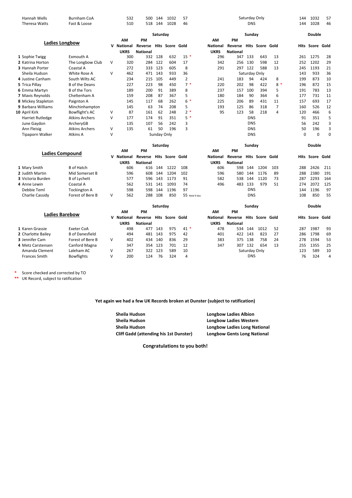| Hannah Wells           | Burnham CoA           |   | 532             | 500             | 144         | 1032       | 57     |                 |                 |            | Saturday Only     |      | 144 | 1032                   | 57 |
|------------------------|-----------------------|---|-----------------|-----------------|-------------|------------|--------|-----------------|-----------------|------------|-------------------|------|-----|------------------------|----|
| Theresa Watts          | Fast & Loose          |   | 510             | 518             | 144         | 1028       | 46     |                 |                 | <b>DNS</b> |                   |      | 144 | 1028                   | 46 |
|                        |                       |   |                 |                 | Saturday    |            |        |                 |                 | Sunday     |                   |      |     | <b>Double</b>          |    |
|                        |                       |   | <b>AM</b>       | <b>PM</b>       |             |            |        | <b>AM</b>       | <b>PM</b>       |            |                   |      |     |                        |    |
|                        | Ladies Longbow        | v | <b>National</b> | Reverse         | Hits        | Score Gold |        | <b>National</b> | Reverse         |            | <b>Hits</b> Score | Gold |     | <b>Hits Score Gold</b> |    |
|                        |                       |   | <b>UKRS</b>     | <b>National</b> |             |            |        | <b>UKRS</b>     | <b>National</b> |            |                   |      |     |                        |    |
| 1 Sophie Twigg         | Exmouth A             |   | 300             | 332             | 128         | 632        | $15*$  | 296             | 347             | 133        | 643               | 13   | 261 | 1275                   | 28 |
| 2 Katrina Horton       | The Longbow Club      | v | 320             | 284             | 122         | 604        | 17     | 342             | 256             | 130        | 598               | 12   | 252 | 1202                   | 29 |
| <b>3 Hannah Porter</b> | Coastal A             |   | 272             | 333             | 123         | 605        | 8      | 291             | 297             | 122        | 588               | 13   | 245 | 1193                   | 21 |
| Sheila Hudson          | White Rose A          | V | 462             | 471             | 143         | 933        | 36     |                 |                 |            | Saturday Only     |      | 143 | 933                    | 36 |
| 4 Justine Canham       | South Wilts AC        |   | 234             | 215             | 105         | 449        | 2      | 241             | 183             | 94         | 424               | 8    | 199 | 873                    | 10 |
| 5 Trica Pillay         | <b>B</b> of the Deans |   | 227             | 223             | 98          | 450        | $7*$   | 220             | 202             | 98         | 422               | $8*$ | 196 | 872                    | 15 |
| 6 Emma Martyn          | <b>B</b> of the Tors  |   | 189             | 200             | 91          | 389        | 8      | 237             | 157             | 100        | 394               | 5    | 191 | 783                    | 13 |
| 7 Mavis Reynolds       | Cheltenham A          |   | 159             | 208             | 87          | 367        | 5      | 180             | 184             | 90         | 364               | 6    | 177 | 731                    | 11 |
| 8 Mickey Stapleton     | Paignton A            |   | 145             | 117             | 68          | 262        | ∗<br>6 | 225             | 206             | 89         | 431               | 11   | 157 | 693                    | 17 |
| 9 Barbara Williams     | Minchinhampton        |   | 145             | 63              | 74          | 208        | 5      | 193             | 125             | 86         | 318               | 7    | 160 | 526                    | 12 |
| 10 April Kirk          | Bowflight's AC        | V | 87              | 161             | 62          | 248        | $2*$   | 95              | 123             | 58         | 218               | 4    | 120 | 466                    | Е  |
| Harriet Rutledge       | <b>Atkins Archers</b> | V | 177             | 174             | 91          | 351        | $5*$   |                 |                 | <b>DNS</b> |                   |      | 91  | 351                    |    |
| June Gaydon            | ArcheryGB             |   | 135             | 107             | 56          | 242        | 3      |                 |                 | <b>DNS</b> |                   |      | 56  | 242                    |    |
| Ann Fleisig            | <b>Atkins Archers</b> | V | 135             | 61              | 50          | 196        | 3      |                 |                 | <b>DNS</b> |                   |      | 50  | 196                    |    |
| <b>Tipaporn Walker</b> | Atkins A              | V |                 |                 | Sunday Only |            |        |                 |                 | <b>DNS</b> |                   |      | 0   | 0                      |    |

|                          |                     |   |            |                 | Saturday |                        |               | Sunday      |                         |            |      |     | <b>Double</b> |                 |     |
|--------------------------|---------------------|---|------------|-----------------|----------|------------------------|---------------|-------------|-------------------------|------------|------|-----|---------------|-----------------|-----|
|                          | Ladies Compound     |   | AM         | <b>PM</b>       |          |                        |               | ΑM          | PM                      |            |      |     |               |                 |     |
|                          |                     |   | V National | Reverse         |          | <b>Hits Score Gold</b> |               | National    | Reverse Hits Score Gold |            |      |     |               | Hits Score Gold |     |
|                          |                     |   | UKRS       | <b>National</b> |          |                        |               | <b>UKRS</b> | <b>National</b>         |            |      |     |               |                 |     |
| 1 Mary Smith             | B of Hatch          |   | 606        | 616             | 144      | 1222                   | 108           | 606         | 598                     | 144        | 1204 | 103 | 288           | 2426            | 211 |
| 2 Judith Martin          | Mid Somerset B      |   | 596        | 608             | 144      | 1204                   | 102           | 596         | 580                     | 144        | 1176 | -89 | 288           | 2380            | 191 |
| <b>3</b> Victoria Burden | <b>B</b> of Lychett |   | 577        | 596             | 143      | 1173                   | 91            | 582         | 538                     | 144        | 1120 | 73  | 287           | 2293            | 164 |
| 4 Anne Lewin             | Coastal A           |   | 562        |                 | 531 141  | 1093                   | 74            | 496         | 483                     | 133        | 979  | 51  | 274           | 2072            | 125 |
| Debbie Teml              | Tockington A        |   | 598        | 598             | 144      | 1196                   | 97            |             |                         | <b>DNS</b> |      |     | 144           | 1196            | 97  |
| Charlie Cassidy          | Forest of Bere B    | v | 562        | 288             | 108      | 850                    | 55 Retd 9 doz |             |                         | <b>DNS</b> |      |     | 108           | 850             | 55  |

|                    |                |                        |   |            |                 | Saturday |                        |                |          |                 | Sundav     |                 |    |     | <b>Double</b>   |    |
|--------------------|----------------|------------------------|---|------------|-----------------|----------|------------------------|----------------|----------|-----------------|------------|-----------------|----|-----|-----------------|----|
|                    | Ladies Barebow |                        |   | AM         | <b>PM</b>       |          |                        |                | AМ       | PM              |            |                 |    |     |                 |    |
|                    |                |                        |   | V National | Reverse         |          | <b>Hits Score Gold</b> |                | National | Reverse         |            | Hits Score Gold |    |     | Hits Score Gold |    |
|                    |                |                        |   | UKRS       | <b>National</b> |          |                        |                | UKRS     | <b>National</b> |            |                 |    |     |                 |    |
| 1 Karen Grassie    |                | Exeter CoA             |   | 498        | 477             | 143      | 975                    | $41*$          | 478      | 534             | 144        | 1012            | 52 | 287 | 1987            | 93 |
| 2 Charlotte Bailey |                | <b>B</b> of Danesfield |   | 494        | 481             | - 143    | 975                    | 42             | 401      | 422             | 143        | 823             | 27 | 286 | 1798            | 69 |
| 3 Jennifer Cam     |                | Forest of Bere B       | v | 402        | 434             | 140      | 836                    | 29             | 383      | 375             | 138        | 758             | 24 | 278 | 1594            | 53 |
| 4 Metz Carstensen  |                | Canford Magna          |   | 347        |                 | 354 123  | 701                    | 12             | 347      | 307             | 132        | 654             | 13 | 255 | 1355            | 25 |
| Amanda Clement     |                | Laleham AC             | v | 267        |                 | 322 123  | 589                    | 10             |          |                 |            | Saturday Only   |    | 123 | 589             | 10 |
| Frances Smith      |                | <b>Bowflights</b>      | ٧ | 200        | 124             | 76       | 324                    | $\overline{4}$ |          |                 | <b>DNS</b> |                 |    | 76  | 324             | 4  |

**\*** Score checked and corrected by TO

**\*\*** UK Record, subject to ratification

#### **Yet again we had a few UK Records broken at Dunster (subject to ratification)**

| <b>Longbow Ladies Albion</b>        |
|-------------------------------------|
| <b>Longbow Ladies Western</b>       |
| <b>Longbow Ladies Long National</b> |
| <b>Longbow Gents Long National</b>  |
|                                     |

**Congratulations to you both!**